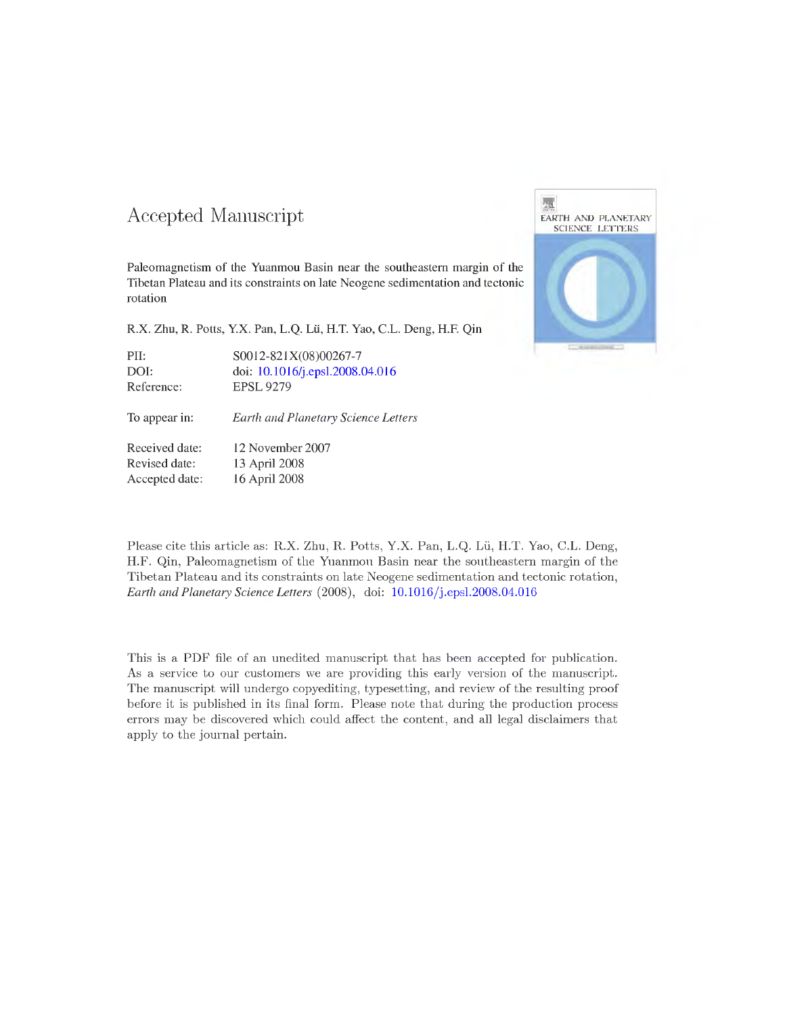#### Accepted Manuscript

**Paleomagnetism of the Yuanmou Basin near the southeastern margin of the Tibetan Plateau and its constraints on late Neogene sedimentation and tectonic rotation**

**R.X. Zhu, R. Potts, Y.X. Pan, L.Q. Lu, H.T. Yao, C.L. Deng, H.R Qin**

PII: S0012-821X(08)00267-7 DOI: doi: 10.1016/j.epsl.2008.04.016 Reference: EPSL 9279

To appear in: *Earth and Planetary Science Lei*

Received date: 12 November 2007 Revised date: 13 April 2008 Accepted date: 16 April 2008

Please cite this article as: R.X. Zhu, R. Potts, Y.X. Pan, L.Q. LÜ, H.T. Yao, C.L. Deng, H.F. Qin, Paleomagnetism of the Yuanmou Basin near the southeastern margin of the Tibetan Plateau and its constraints on late Neogene sedimentation and tectonic rotation. *Earth and Planetary Science Letters* (2008), doi: 10.1016/j.epsl.2008.04.016

This is a PDF file of an unedited manuscript that has been accepted for publication. As a service to our customers we are providing this early version of the manuscript. The manuscript will undergo copyediting, typesetting, and review of the resulting proof before it is published in its final form. Please note that during the production process errors may be discovered which could affect the content, and all legal disclaimers that apply to the journal pertain.

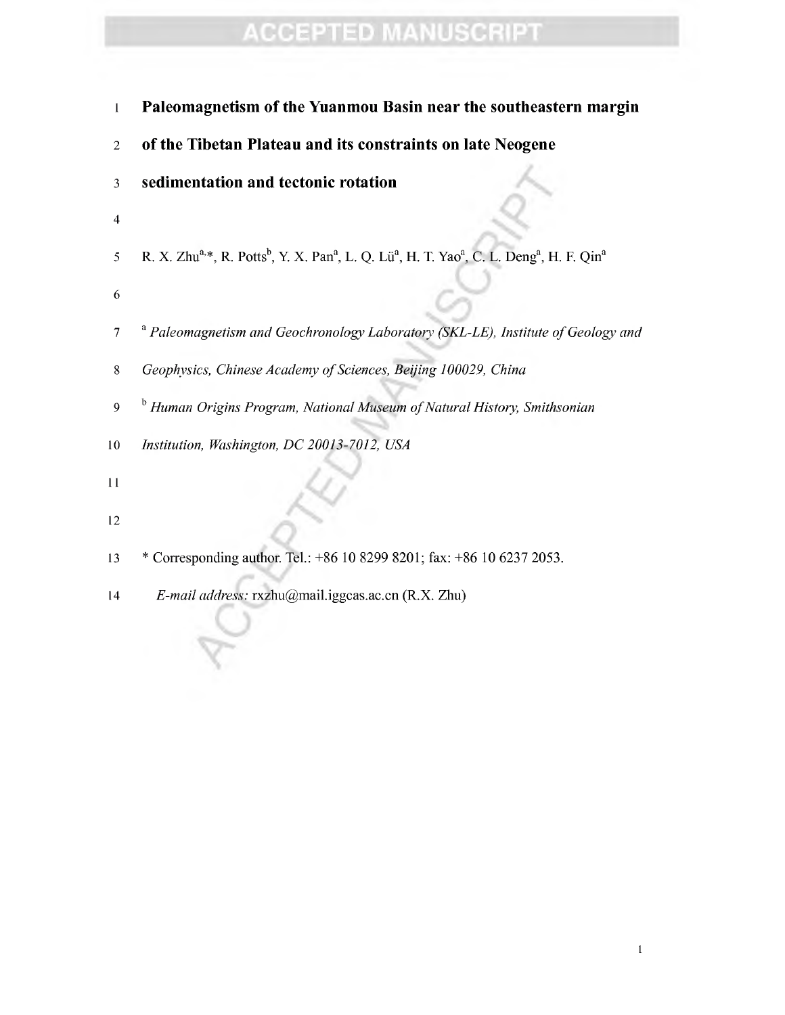- Paleomagnetism of the Yuanmou Basin near the southeastern margin
- of the Tibetan Plateau and its constraints on late Neogene
- sedimentation and tectonic rotation ^-
- 
- 5 R. X. Zhu<sup>a,\*</sup>, R. Potts<sup>b</sup>, Y. X. Pan<sup>a</sup>, L. Q. Lü<sup>a</sup>, H. T. Yao<sup>a</sup>, C. L. Deng<sup>a</sup>, H. F. Qin<sup>a</sup>
- 
- ' *Paleomagnetism and Geochronology Laboratory (SKL-LE), Institute ofGeology and*
- *Geophysics, Chinese Academy ofSciences, Beijing 100029, China*
- *Human Origins Program, National Museum ofNatural History, Smithsonian*
- *Institution, Washington, DC 20013-7012, USA*
- 
- *\**
- \* Corresponding author. Tel: +86 10 8299 8201; fax: +86 10 6237 2053.
- *E-mail address:* rxzhu@mail.iggcas.ac.cn (R.X. Zhu)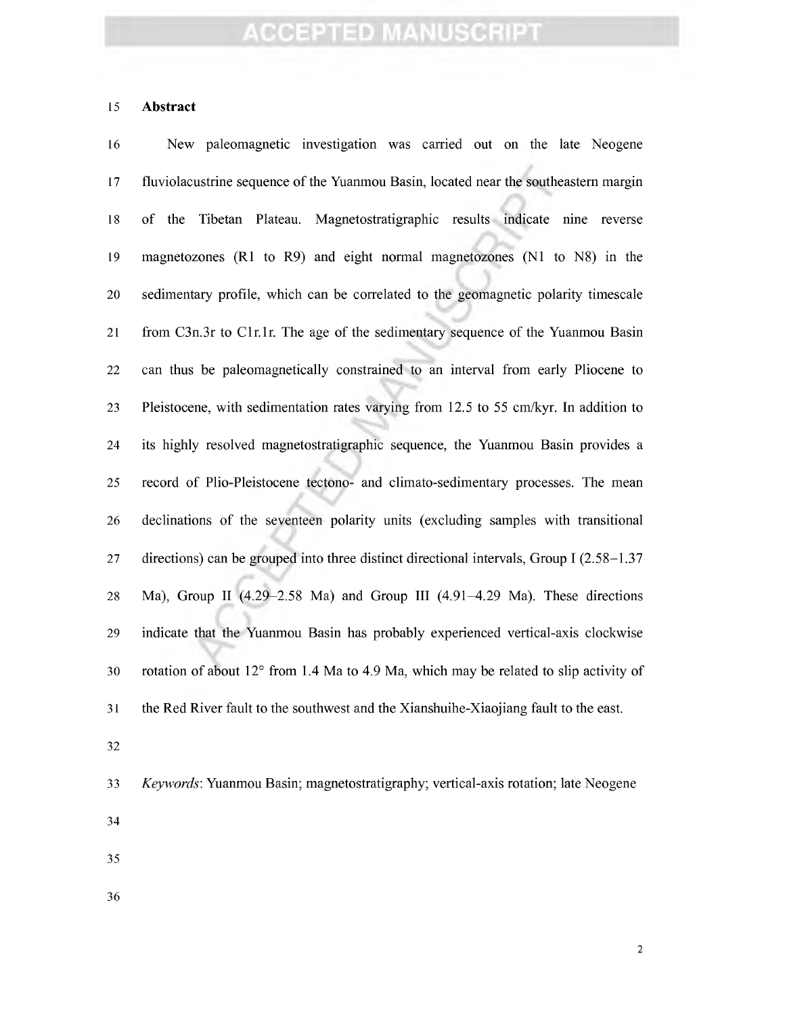#### **Abstract**

 New paleomagnetic investigation was carried out on the late Neogene fluviolacustrine sequence of the Yuanmou Basin, located near the southeastern margin of the Tibetan Plateau. Magnetostratigraphic results indicate nine reverse magnetozones (Rl to R9) and eight normal magnetozones (Nl to N8) in the sedimentary profile, which can be correlated to the geomagnetic polarity timescale 21 from C3n.3r to C1r.1r. The age of the sedimentary sequence of the Yuanmou Basin can thus be paleomagnetically constrained to an interval from early Pliocene to Pleistocene, with sedimentation rates varying from 12.5 to 55 cm/kyr. In addition to its highly resolved magnetostratigraphic sequence, the Yuanmou Basin provides a record of Plio-Pleistocene tectono- and climato-sedimentary processes. The mean declinations of the seventeen polarity units (excluding samples with transitional directions) can be grouped into three distinct directional intervals. Group I (2.58-1.37 Ma), Group II (4.29-2.58 Ma) and Group III (4.91-4.29 Ma). These directions indicate that the Yuanmou Basin has probably experienced vertical-axis clockwise rotation of about 12° from 1.4 Ma to 4.9 Ma, which may be related to slip activity of the Red River fault to the southwest and the Xianshuihe-Xiaojiang fault to the east. 

- *Keywords:* Yuanmou Basin; magnetostratigraphy; vertical-axis rotation; late Neogene
- 
- 
-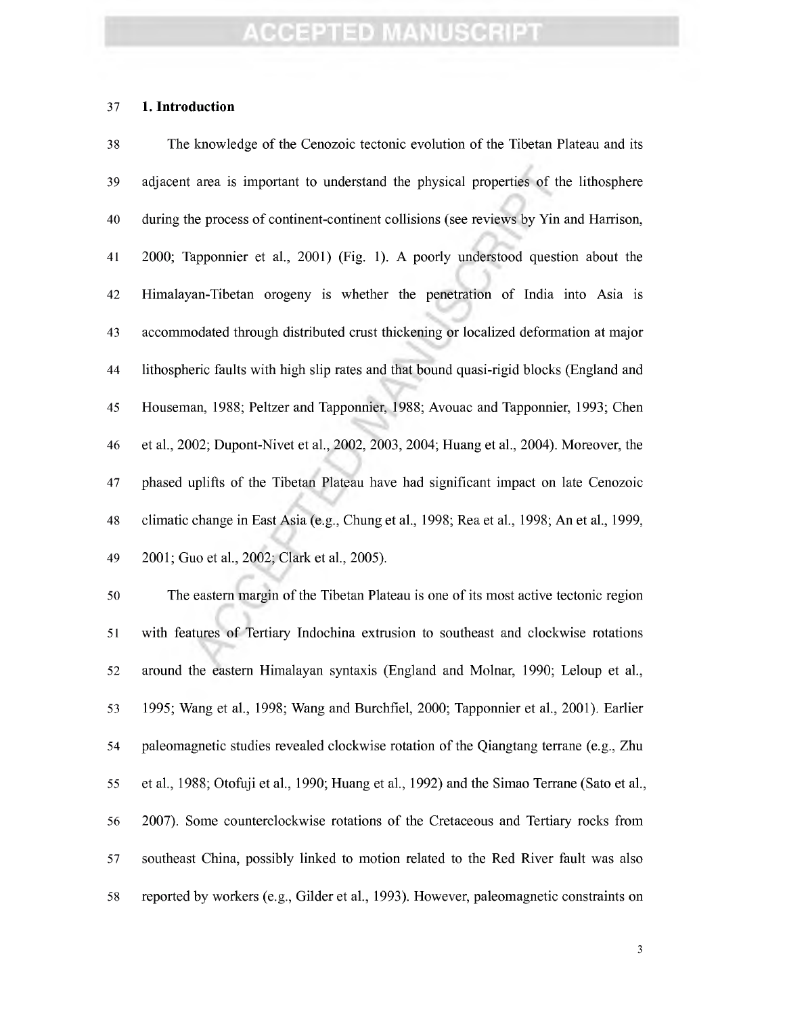#### **1. Introduction**

 The knowledge of the Cenozoic tectonic evolution of the Tibetan Plateau and its adjacent area is important to understand the physical properties of the lithosphère during the process of continent-continent collisions (see reviews by Yin and Harrison, 2000; Tapponnier et al., 2001) (Fig. 1). A poorly understood question about the Himalayan-Tibetan orogeny is whether the penetration of India into Asia is accommodated through distributed crust thickening or localized deformation at major lithospheric faults with high slip rates and that bound quasi-rigid blocks (England and Houseman, 1988; Peltzer and Tapponnier, 1988; Avouac and Tapponnier, 1993; Chen et al, 2002; Dupont-Nivet et al., 2002, 2003, 2004; Huang et al, 2004). Moreover, the phased uplifts of the Tibetan Plateau have had significant impact on late Cenozoic climatic change in East Asia (e.g., Chung et al., 1998; Rea et al, 1998; An et al., 1999, 2001; Guo et al, 2002; Clark et al, 2005).

50 The eastern margin of the Tibetan Plateau is one of its most active tectonic region with features of Tertiary Indochina extrusion to southeast and clockwise rotations 52 around the eastern Himalayan syntaxis (England and Molnar, 1990; Leloup et al., 1995; Wang et al., 1998; Wang and Burchfiel, 2000; Tapponnier et al., 2001). Earlier paleomagnetic studies revealed clockwise rotation of the Qiangtang terrane (e.g., Zhu et al, 1988; Otoñiji et al., 1990; Huang et al., 1992) and the Simao Terrane (Sato et al., 2007). Some counterclockwise rotations of the Cretaceous and Tertiary rocks from southeast China, possibly linked to motion related to the Red River fault was also reported by workers (e.g.. Gilder et al., 1993). However, paleomagnetic constraints on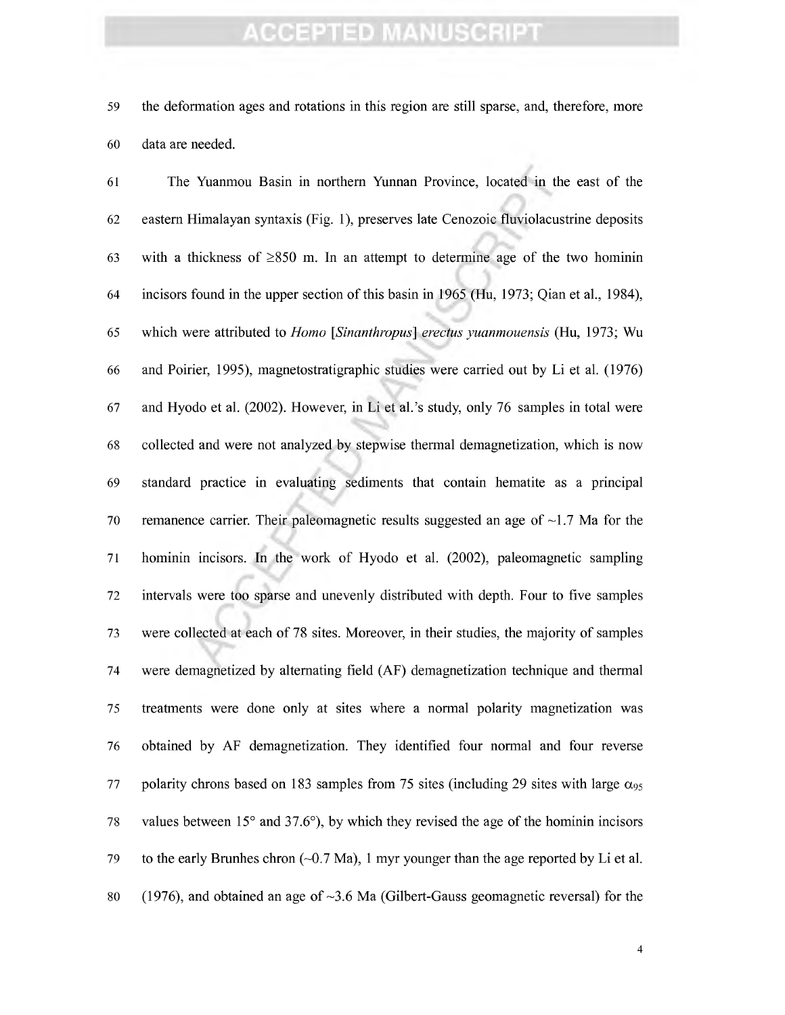the deformation ages and rotations in this region are still sparse, and, therefore, more data are needed.

 The Yuanmou Basin in northern Yimnan Province, located in the east of the eastern Himalayan syntaxis (Fig. 1), preserves late Cenozoic fluviolacustrine deposits 63 with a thickness of  $\geq$ 850 m. In an attempt to determine age of the two hominin incisors found in the upper section of this basin in 1965 (Hu, 1973; Qian et al., 1984), which were attributed to *Homo [Sinanthropus] erectus yuanmouensis* (Hu, 1973; Wu and Poirier, 1995), magnetostratigraphic studies were carried out by Li et al. (1976) and Hyodo et al. (2002). However, in Li et al.'s study, only 76 samples in total were collected and were not analyzed by stepwise thermal demagnetization, which is now standard practice in evaluating sediments that contain hematite as a principal 70 remanence carrier. Their paleomagnetic results suggested an age of  $\sim$ 1.7 Ma for the hominin incisors. In the work of Hyodo et al. (2002), paleomagnetic sampling intervals were too sparse and unevenly distributed with depth. Four to five samples were collected at each of 78 sites. Moreover, in their studies, the majority of samples were demagnetized by alternating field (AF) demagnetization technique and thermal treatments were done only at sites where a normal polarity magnetization was obtained by AF demagnetization. They identified four normal and four reverse 77 polarity chrons based on 183 samples from 75 sites (including 29 sites with large  $\alpha_{95}$  values between 15° and 37.6°), by which they revised the age of the hominin incisors 79 to the early Brunhes chron  $(-0.7 \text{ Ma})$ , 1 myr younger than the age reported by Li et al. 80 (1976), and obtained an age of  $\sim$ 3.6 Ma (Gilbert-Gauss geomagnetic reversal) for the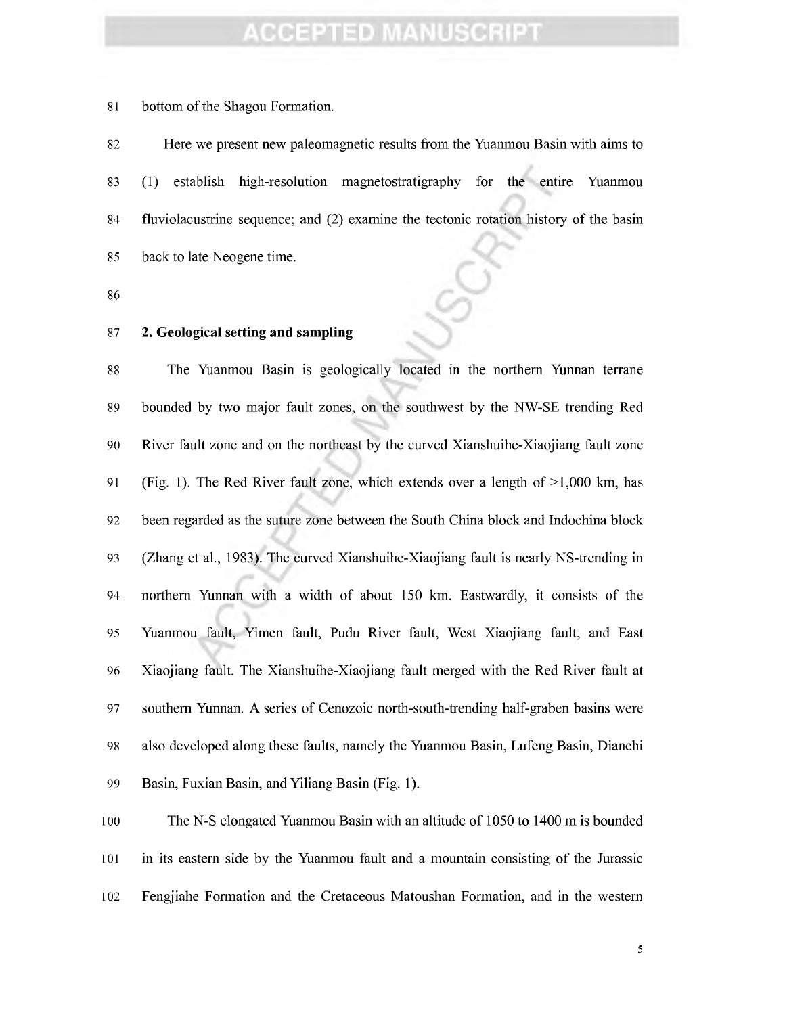81 bottom of the Shagou Formation.

 Here we present new paleomagnetic results from the Yuanmou Basin with aims to (1) establish high-resolution magnetostratigraphy for the entire Yuanmou fluviolacustrine sequence; and (2) examine the tectonic rotation history of the basin back to late Neogene time.

#### **2. Geological setting and sampling**

 The Yuanmou Basin is geologically located in the northern Yunnan terrane bounded by two major fault zones, on the southwest by the NW-SE trending Red River fault zone and on the northeast by the curved Xianshuihe-Xiaojiang fault zone (Fig. 1). The Red River fault zone, which extends over a length of >1,000 km, has been regarded as the suture zone between the South China block and Indochina block (Zhang et al., 1983). The curved Xianshuihe-Xiaojiang fault is nearly NS-trending in northern Yunnan with a width of about 150 km. Eastwardly, it consists of the Yuanmou fault, Yimen fault, Pudu River fault. West Xiaojiang fault, and East Xiaojiang fault. The Xianshuihe-Xiaojiang fault merged with the Red River fault at southern Yunnan. A series of Cenozoic north-south-trending half-graben basins were also developed along these faults, namely the Yuanmou Basin, Lufeng Basin, Dianchi Basin, Fuxian Basin, and Yiliang Basin (Fig. 1).

 The N-S elongated Yuanmou Basin with an altitude of 1050 to 1400 m is bounded in its eastern side by the Yuanmou fault and a mountain consisting of the Jurassic Fengjiahe Formation and the Cretaceous Matoushan Formation, and in the western

 $\sqrt{5}$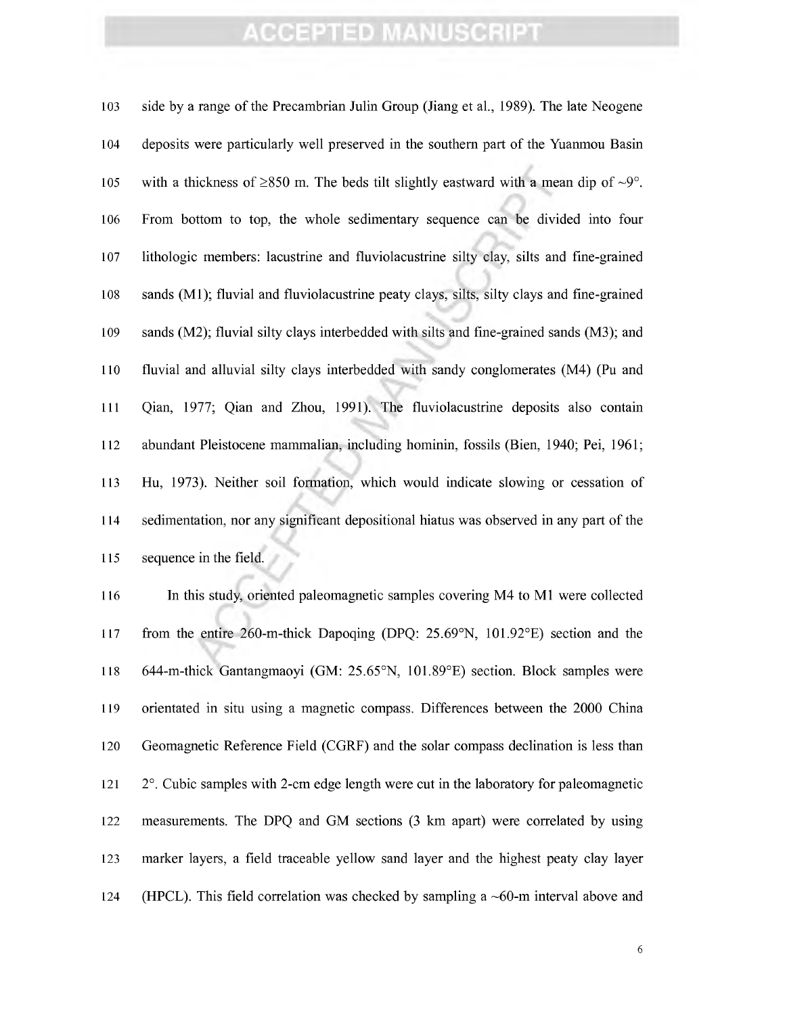| 103 | side by a range of the Precambrian Julin Group (Jiang et al., 1989). The late Neogene           |
|-----|-------------------------------------------------------------------------------------------------|
| 104 | deposits were particularly well preserved in the southern part of the Yuanmou Basin             |
| 105 | with a thickness of $\geq$ 850 m. The beds tilt slightly eastward with a mean dip of $\sim$ 9°. |
| 106 | From bottom to top, the whole sedimentary sequence can be divided into four                     |
| 107 | lithologic members: lacustrine and fluviolacustrine silty clay, silts and fine-grained          |
| 108 | sands (M1); fluvial and fluviolacustrine peaty clays, silts, silty clays and fine-grained       |
| 109 | sands (M2); fluvial silty clays interbedded with silts and fine-grained sands (M3); and         |
| 110 | fluvial and alluvial silty clays interbedded with sandy conglomerates (M4) (Pu and              |
| 111 | Qian, 1977; Qian and Zhou, 1991). The fluviolacustrine deposits also contain                    |
| 112 | abundant Pleistocene mammalian, including hominin, fossils (Bien, 1940; Pei, 1961;              |
| 113 | Hu, 1973). Neither soil formation, which would indicate slowing or cessation of                 |
| 114 | sedimentation, nor any significant depositional hiatus was observed in any part of the          |
| 115 | sequence in the field.                                                                          |

 In this study, oriented paleomagnetic samples covering M4 to Ml were collected from the entire 260-m-thick Dapoqing (DPQ: 25.69°N, 101.92°E) section and the 644-m-thick Gantangmaoyi (GM: 25.65°N, 101.89°E) section. Block samples were orientated in situ using a magnetic compass. Differences between the 2000 China Geomagnetic Reference Field (CGRF) and the solar compass declination is less than 121 2°. Cubic samples with 2-cm edge length were cut in the laboratory for paleomagnetic measurements. The DPQ and GM sections (3 km apart) were correlated by using marker layers, a field traceable yellow sand layer and the highest peaty clay layer (HPCL). This field correlation was checked by sampling a ~60-m interval above and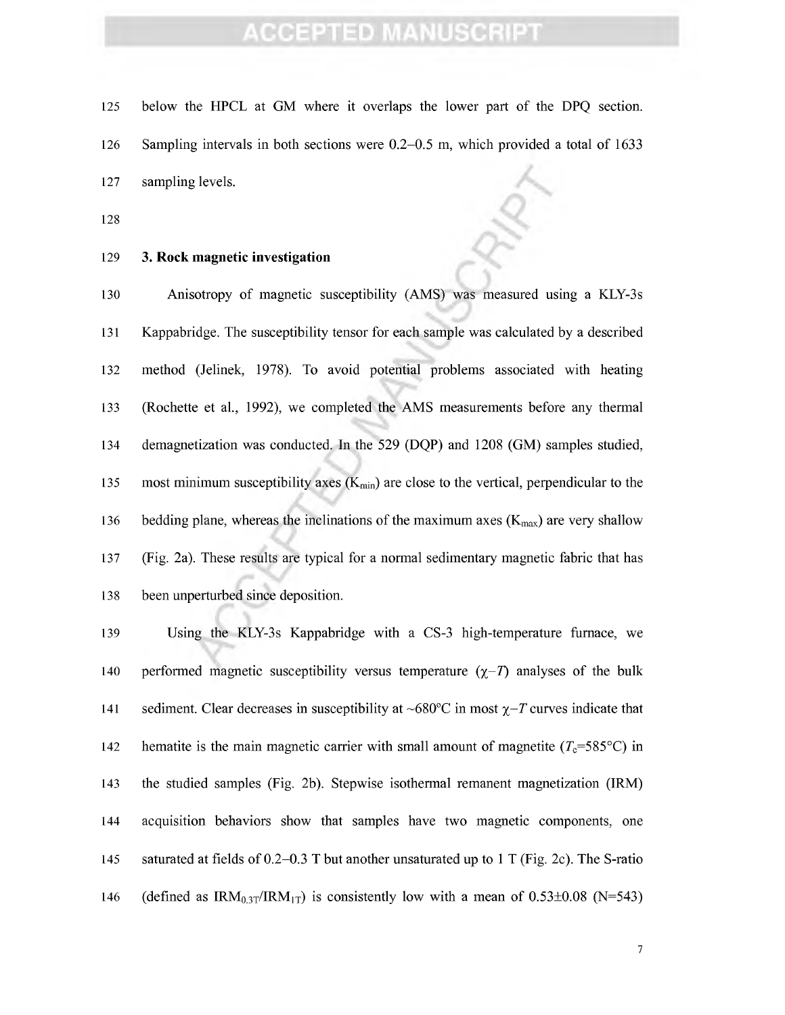- below the HPCL at GM where it overlaps the lower part of the DPQ section.
- Sampling intervals in both sections were 0.2-0.5 m, which provided a total of 1633
- sampling levels. *^^*
- 

#### **3. Rock magnetic investigation**

 Anisotropy of magnetic susceptibility (AMS) was measured using a KLY-3s Kappabridge. The susceptibility tensor for each sample was calculated by a described method (Jehnek, 1978). To avoid potential problems associated with heating (Rochette et al, 1992), we completed the AMS measurements before any thermal demagnetization was conducted. In the 529 (DQP) and 1208 (GM) samples studied, 135 most minimum susceptibility axes  $(K_{min})$  are close to the vertical, perpendicular to the 136 bedding plane, whereas the inclinations of the maximum axes  $(K_{\text{max}})$  are very shallow (Fig. 2a). These results are typical for a normal sedimentary magnetic fabric that has been unperturbed since deposition.

 Using the KLY-3s Kappabridge with a CS-3 high-temperature furnace, we 140 performed magnetic susceptibility versus temperature  $(\chi - T)$  analyses of the bulk 141 sediment. Clear decreases in susceptibility at  $\sim 680^{\circ}$ C in most  $\chi$ -T curves indicate that 142 hematite is the main magnetic carrier with small amount of magnetite  $(T_c=585^{\circ}C)$  in the studied samples (Fig. 2b). Stepwise isothermal rémanent magnetization (IRM) acquisition behaviors show that samples have two magnetic components, one saturated at fields of 0.2-0.3 T but another unsaturated up to <sup>1</sup> T (Fig. 2c). The S-ratio 146 (defined as  $\text{IRM}_{0.3T}/\text{IRM}_{1T}$ ) is consistently low with a mean of 0.53±0.08 (N=543)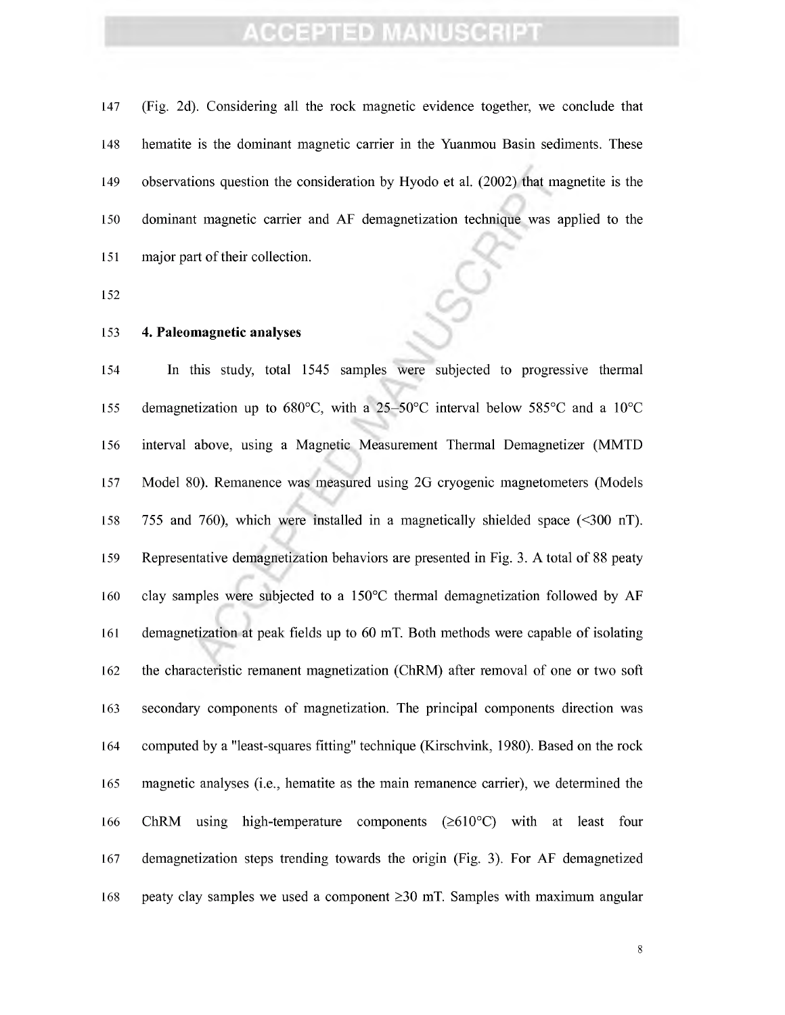(Fig. 2d). Considering all the rock magnetic evidence together, we conclude that hematite is the dominant magnetic carrier in the Yuanmou Basin sediments. These observations question the consideration by Hyodo et al. (2002) that magnetite is the dominant magnetic carrier and AF demagnetization technique was applied to the 151 major part of their collection.

#### **4. Paleomagnetic analyses**

 In this study, total 1545 samples were subjected to progressive thermal demagnetization up to 680°C, with a 25-50°C interval below 585°C and a 10°C interval above, using a Magnetic Measurement Thermal Demagnetizer (MMTD Model 80). Remanence was measured using 2G cryogenic magnetometers (Models 755 and 760), which were installed in a magnetically shielded space (<300 nT). Representative demagnetization behaviors are presented in Fig. 3. A total of 88 peaty clay samples were subjected to a 150°C thermal demagnetization followed by AF demagnetization at peak fields up to 60 mT. Both methods were capable of isolating 162 the characteristic remanent magnetization (ChRM) after removal of one or two soft secondary components of magnetization. The principal components direction was computed by a "least-squares fitting" technique (Kirschvink, 1980). Based on the rock magnetic analyses (i.e., hematite as the main remanence carrier), we determined the 166 ChRM using high-temperature components  $(\geq 610^{\circ}C)$  with at least four demagnetization steps trending towards the origin (Fig. 3). For AF demagnetized 168 peaty clay samples we used a component  $\geq$ 30 mT. Samples with maximum angular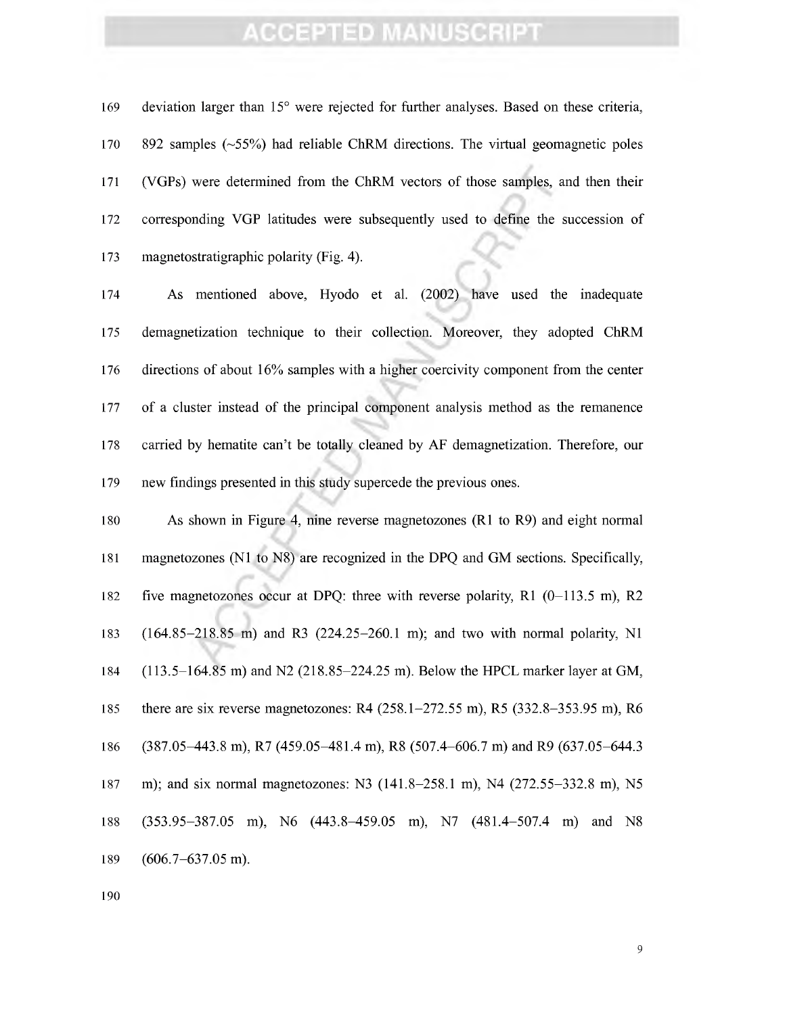169 deviation larger than 15° were rejected for further analyses. Based on these criteria, 892 samples (-55%) had reliable ChRM directions. The virtual geomagnetic poles (VGPs) were determined from the ChRM vectors of those samples, and then their corresponding VGP latitudes were subsequently used to define the succession of magnetostratigraphic polarity (Fig. 4).

 As mentioned above, Hyodo et al. (2002) have used the inadequate demagnetization technique to their collection. Moreover, they adopted ChRM directions of about 16% samples with a higher coercivity component from the center of a cluster instead of the principal component analysis method as the remanence carried by hematite can't be totally cleaned by AF demagnetization. Therefore, our new findings presented in this study supercede the previous ones.

 As shown in Figure 4, nine reverse magnetozones (Rl to R9) and eight normal magnetozones (Nl to N8) are recognized in the DPQ and GM sections. Specifically, five magnetozones occur at DPQ: three with reverse polarity, Rl (0-113.5 m), R2 (164.85-218.85 m) and R3 (224.25-260.1 m); and two with normal polarity, Nl (113.5-164.85 m) and N2 (218.85-224.25 m). Below the HPCL marker layer at GM, there are six reverse magnetozones: R4 (258.1-272.55 m), R5 (332.8-353.95 m), R6 (387.05-443.8 m), R7 (459.05-481.4 m), R8 (507.4-606.7 m) and R9 (637.05-644.3 m); and six normal magnetozones: N3 (141.8-258.1 m), N4 (272.55-332.8 m), N5 (353.95-387.05 m), N6 (443.8-459.05 m), N7 (481.4-507.4 m) and N8 (606.7-637.05 m).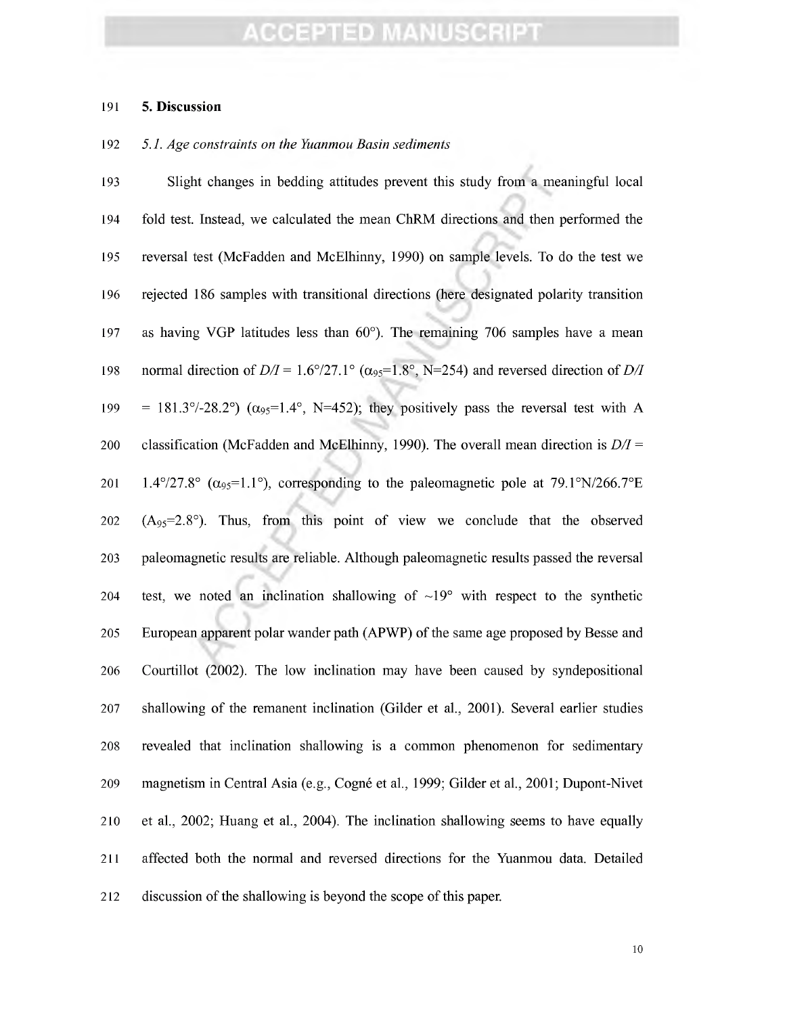#### **5. Discussion**

#### *5.1. Age constraints on the Yuanmou Basin sediments*

 Slight changes in bedding attitudes prevent this study from a meaningful local fold test. Instead, we calculated the mean ChRM directions and then performed the reversal test (McFadden and McElhinny, 1990) on sample levels. To do the test we rejected 186 samples with transitional directions (here designated polarity transition as having VGP latitudes less than 60°). The remaining 706 samples have a mean 198 normal direction of  $D/I = 1.6^{\circ}/27.1^{\circ}$  ( $\alpha_{95} = 1.8^{\circ}$ , N=254) and reversed direction of  $D/I$ 199 = 181.3 $\degree$ /-28.2 $\degree$ ) ( $\alpha_{95}$ =1.4 $\degree$ , N=452); they positively pass the reversal test with A classification (McFadden and McElhinny, 1990). The overall mean direction is *D/I =* 201 1.4°/27.8°  $(\alpha_{95}=1.1^{\circ})$ , corresponding to the paleomagnetic pole at 79.1°N/266.7°E  $(A_{95}=2.8^{\circ})$ . Thus, from this point of view we conclude that the observed paleomagnetic results are reliable. Although paleomagnetic results passed the reversal 204 test, we noted an inclination shallowing of  $\sim 19^{\circ}$  with respect to the synthetic 205 European apparent polar wander path (APWP) of the same age proposed by Besse and Courtillot (2002). The low inclination may have been caused by syndepositional shallowing of the rémanent inclination (Gilder et al., 2001). Several earlier studies revealed that inclination shallowing is a common phenomenon for sedimentary magnetism in Central Asia (e.g.. Cogné et al., 1999; Gilder et al., 2001; Dupont-Nivet et al., 2002; Huang et al., 2004). The inclination shallowing seems to have equally affected both the normal and reversed directions for the Yuanmou data. Detailed 212 discussion of the shallowing is beyond the scope of this paper.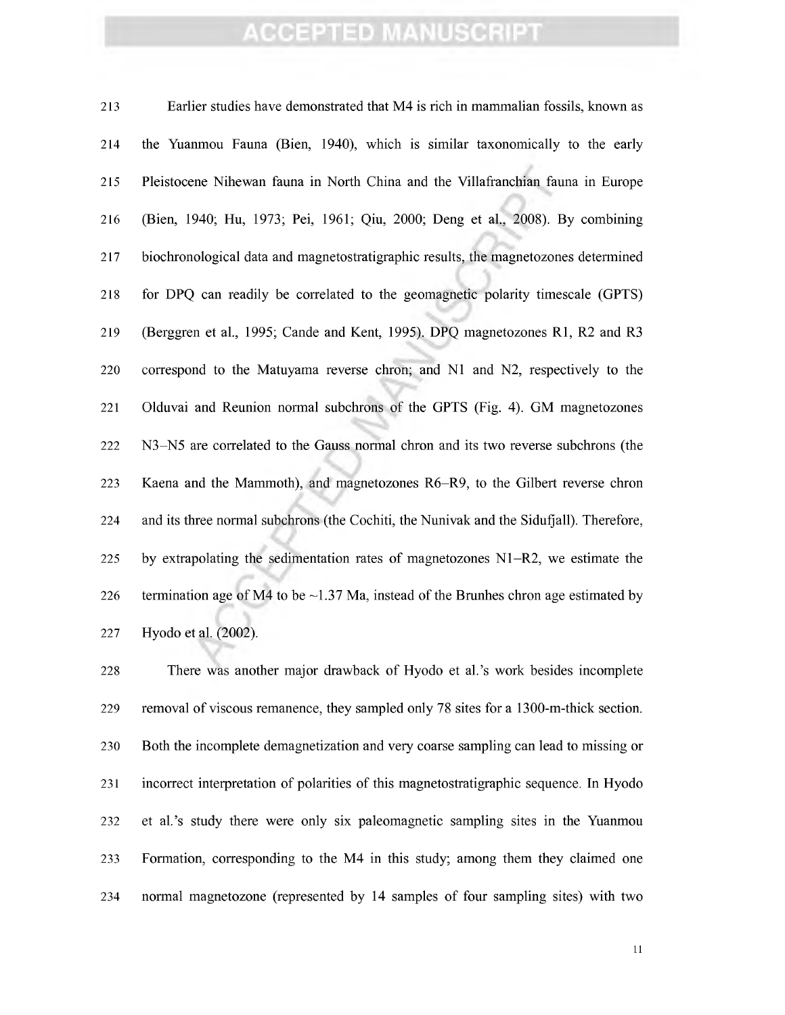Earlier studies have demonstrated that M4 is rich in mammalian fossils, known as the Yuanmou Faima (Bien, 1940), which is similar taxonomically to the early Pleistocene Nihewan fauna in North China and the Villafranchian fauna in Europe (Bien, 1940; Hu, 1973; Pei, 1961; Qiu, 2000; Deng et al, 2008). By combining biochronological data and magnetostratigraphic results, the magnetozones determined for DPQ can readily be correlated to the geomagnetic polarity timescale (GPTS) (Berggren et al., 1995; Cande and Kent, 1995). DPQ magnetozones Rl, R2 and R3 correspond to the Matuyama reverse chron; and Nl and N2, respectively to the Olduvai and Reunion normal subchrons of the GPTS (Fig. 4). GM magnetozones N3-N5 are correlated to the Gauss normal chron and its two reverse subchrons (the Kaena and the Mammoth), and magnetozones R6-R9, to the Gilbert reverse chron and its three normal subchrons (the Cochiti, the Nunivak and the Sidufjall). Therefore, by extrapolating the sedimentation rates of magnetozones N1-R2, we estimate the 226 termination age of M4 to be  $\sim$  1.37 Ma, instead of the Brunhes chron age estimated by Hyodo et al. (2002).

 There was another major drawback of Hyodo et al.'s work besides incomplete removal of viscous remanence, they sampled only 78 sites for a 1300-m-thick section. Both the incomplete demagnetization and very coarse sampling can lead to missing or incorrect interpretation of polarities of this magnetostratigraphic sequence. In Hyodo et al.'s study there were only six paleomagnetic sampling sites in the Yuanmou Formation, corresponding to the M4 in this study; among them they claimed one normal magnetozone (represented by 14 samples of four sampling sites) with two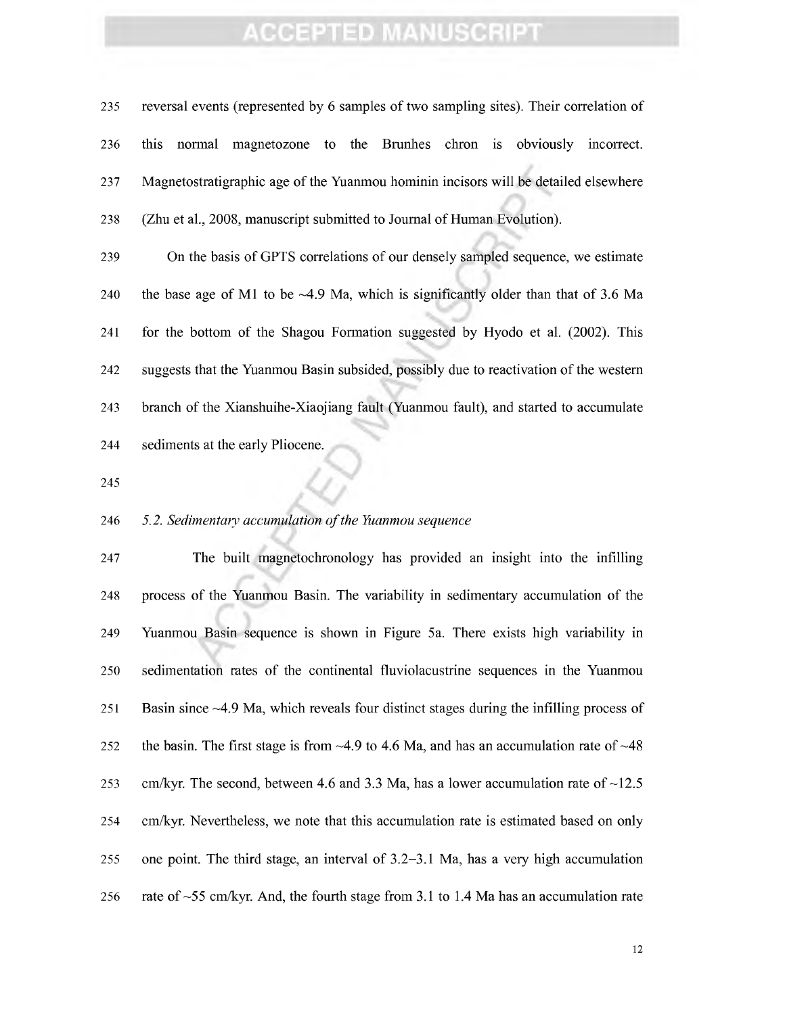reversal events (represented by 6 samples of two sampling sites). Their correlation of this normal magnetozone to the Brunhes chron is obviously incorrect. Magnetostratigraphic age of the Yuanmou hominin incisors will be detailed elsewhere (Zhu et al., 2008, manuscript submitted to Journal of Human Evolution).

 On the basis of GPTS correlations of our densely sampled sequence, we estimate 240 the base age of M1 to be  $\sim$  4.9 Ma, which is significantly older than that of 3.6 Ma for the bottom of the Shagou Formation suggested by Hyodo et al. (2002). This suggests that the Yuanmou Basin subsided, possibly due to reactivation of the western branch of the Xianshuihe-Xiaojiang fault (Yuanmou fault), and started to accumulate sediments at the early Pliocene.

#### *5.2. Sedimentary accumulation ofthe Yuanmou sequence*

 The built magnetochronology has provided an insight into the infilling process of the Yuanmou Basin. The variability in sedimentary accumulation of the Yuanmou Basin sequence is shown in Figure 5a. There exists high variability in sedimentation rates of the continental fiuviolacustrine sequences in the Yuanmou Basin since -4.9 Ma, which reveals four distinct stages during the infilling process of 252 the basin. The first stage is from  $\sim$ 4.9 to 4.6 Ma, and has an accumulation rate of  $\sim$ 48 253 cm/kyr. The second, between 4.6 and 3.3 Ma, has a lower accumulation rate of  $\sim$ 12.5 254 cm/kyr. Nevertheless, we note that this accumulation rate is estimated based on only one point. The third stage, an interval of 3.2-3.1 Ma, has a very high accumulation 256 rate of  $\sim$  55 cm/kyr. And, the fourth stage from 3.1 to 1.4 Ma has an accumulation rate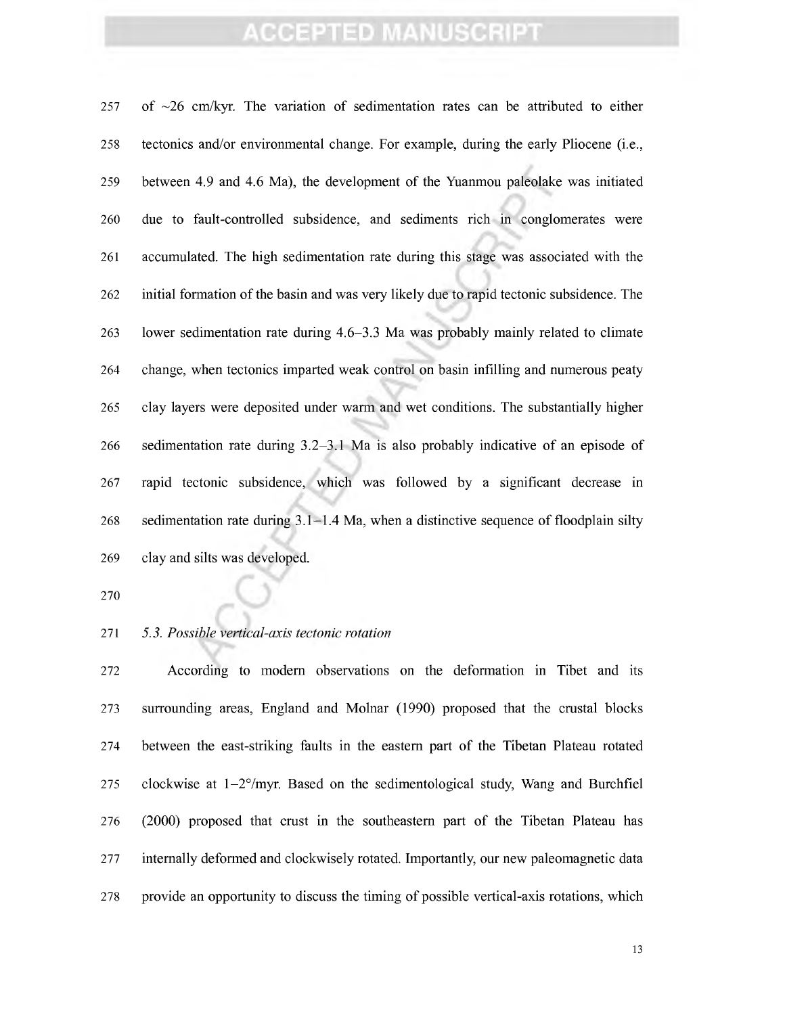257 of  $\sim$ 26 cm/kyr. The variation of sedimentation rates can be attributed to either tectonics and/or environmental change. For example, during the early Pliocene (i.e., between 4.9 and 4.6 Ma), the development of the Yuanmou paleolake was initiated due to fault-controlled subsidence, and sediments rich in conglomerates were accumulated. The high sedimentation rate during this stage was associated with the initial formation ofthe basin and was very likely due to rapid tectonic subsidence. The lower sedimentation rate during 4.6-3.3 Ma was probably mainly related to climate change, when tectonics imparted weak control on basin infilling and numerous peaty clay layers were deposited under warm and wet conditions. The substantially higher sedimentation rate during 3.2-3.1 Ma is also probably indicative of an episode of rapid tectonic subsidence, which was followed by a significant decrease in sedimentation rate during 3.1-1.4 Ma, when a distinctive sequence of floodplain silty clay and silts was developed.

#### *5.3. Possible vertical-axis tectonic rotation*

 According to modem observations on the deformation in Tibet and its surrounding areas, England and Molnar (1990) proposed that the crustal blocks between the east-striking faults in the eastern part of the Tibetan Plateau rotated 275 clockwise at  $1-2^{\circ}/\text{myr}$ . Based on the sedimentological study, Wang and Burchfiel (2000) proposed that crust in the southeastern part of the Tibetan Plateau has internally deformed and clockwisely rotated. Importantly, our new paleomagnetic data provide an opportunity to discuss the timing of possible vertical-axis rotations, which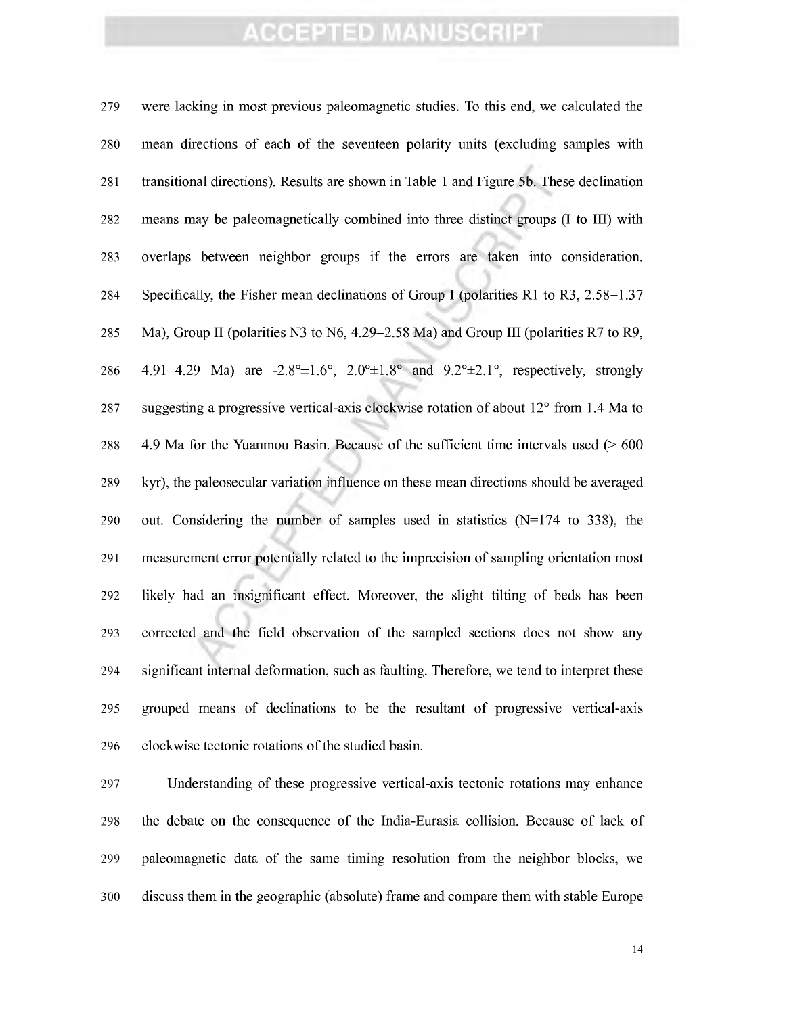were lacking in most previous paleomagnetic studies. To this end, we calculated the mean directions of each of the seventeen polarity units (excluding samples with transitional directions). Results are shown in Table <sup>1</sup> and Figure 5b. These declination means may be paleomagnetically combined into three distinct groups (I to III) with overlaps between neighbor groups if the errors are taken into consideration. Specifically, the Fisher mean declinations of Group I (polarities Rl to R3, 2.58-1.37 Ma), Group II (polarities N3 to N6, 4.29-2.58 Ma) and Group III (polarities R7 to R9, 286 4.91-4.29 Ma) are  $-2.8^{\circ} \pm 1.6^{\circ}$ ,  $2.0^{\circ} \pm 1.8^{\circ}$  and  $9.2^{\circ} \pm 2.1^{\circ}$ , respectively, strongly suggesting a progressive vertical-axis clockwise rotation of about 12° from 1.4 Ma to 4.9 Ma for the Yuanmou Basin. Because of the sufficient time intervals used (> 600 289 kyr), the paleosecular variation influence on these mean directions should be averaged 290 out. Considering the number of samples used in statistics  $(N=174$  to 338), the measurement error potentially related to the imprecision of sampling orientation most likely had an insignificant effect. Moreover, the slight tilting of beds has been corrected and the field observation of the sampled sections does not show any significant internal deformation, such as faulting. Therefore, we tend to interpret these grouped means of declinations to be the resultant of progressive vertical-axis 296 clockwise tectonic rotations of the studied basin.

 Understanding of these progressive vertical-axis tectonic rotations may enhance the debate on the consequence of the India-Eurasia collision. Because of lack of paleomagnetic data of the same timing resolution from the neighbor blocks, we discuss them in the geographic (absolute) frame and compare them with stable Europe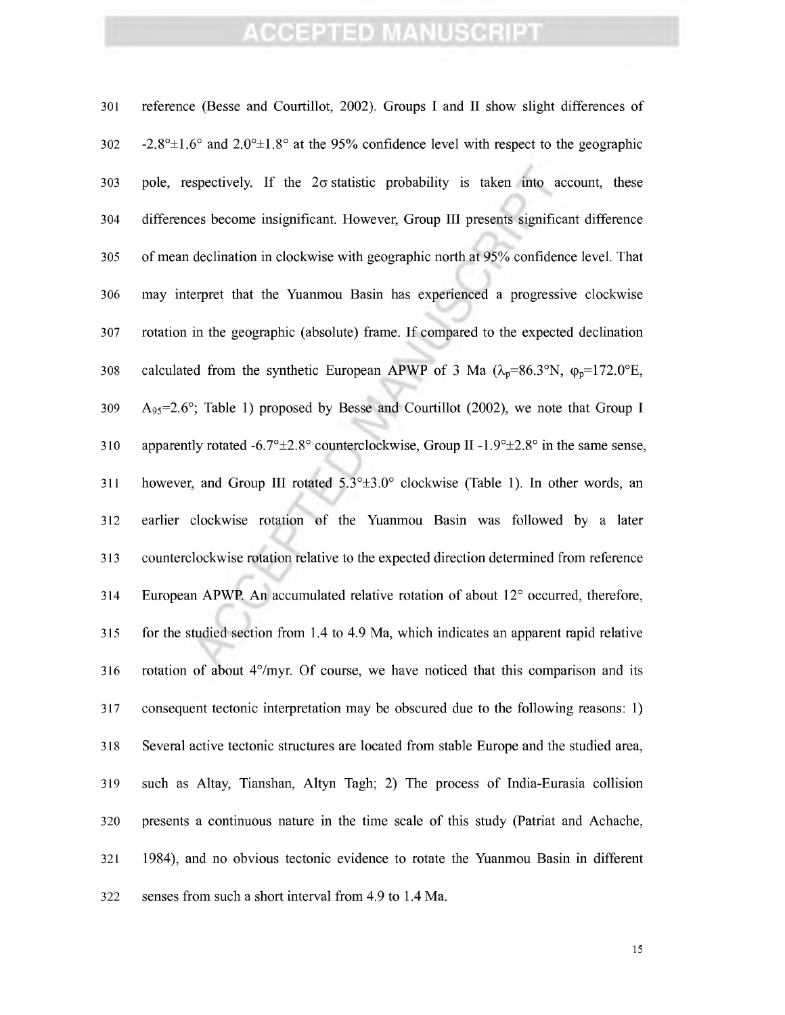| 301 | reference (Besse and Courtillot, 2002). Groups I and II show slight differences of                                          |
|-----|-----------------------------------------------------------------------------------------------------------------------------|
| 302 | $-2.8^{\circ} \pm 1.6^{\circ}$ and $2.0^{\circ} \pm 1.8^{\circ}$ at the 95% confidence level with respect to the geographic |
| 303 | pole, respectively. If the $2\sigma$ statistic probability is taken into account, these                                     |
| 304 | differences become insignificant. However, Group III presents significant difference                                        |
| 305 | of mean declination in clockwise with geographic north at 95% confidence level. That                                        |
| 306 | may interpret that the Yuanmou Basin has experienced a progressive clockwise                                                |
| 307 | rotation in the geographic (absolute) frame. If compared to the expected declination                                        |
| 308 | calculated from the synthetic European APWP of 3 Ma ( $\lambda_p = 86.3$ °N, $\varphi_p = 172.0$ °E,                        |
| 309 | $A_{95}=2.6^{\circ}$ ; Table 1) proposed by Besse and Courtillot (2002), we note that Group I                               |
| 310 | apparently rotated -6.7 $\textdegree \pm 2.8$ ° counterclockwise, Group II -1.9 $\textdegree \pm 2.8$ ° in the same sense,  |
| 311 | however, and Group III rotated 5.3°±3.0° clockwise (Table 1). In other words, an                                            |
| 312 | earlier clockwise rotation of the Yuanmou Basin was followed by a later                                                     |
| 313 | counterclockwise rotation relative to the expected direction determined from reference                                      |
| 314 | European APWP. An accumulated relative rotation of about 12° occurred, therefore,                                           |
| 315 | for the studied section from 1.4 to 4.9 Ma, which indicates an apparent rapid relative                                      |
| 316 | rotation of about 4°/myr. Of course, we have noticed that this comparison and its                                           |
| 317 | consequent tectonic interpretation may be obscured due to the following reasons: 1)                                         |
| 318 | Several active tectonic structures are located from stable Europe and the studied area,                                     |
| 319 | such as Altay, Tianshan, Altyn Tagh; 2) The process of India-Eurasia collision                                              |
| 320 | presents a continuous nature in the time scale of this study (Patriat and Achache,                                          |
| 321 | 1984), and no obvious tectonic evidence to rotate the Yuanmou Basin in different                                            |
| 322 | senses from such a short interval from 4.9 to 1.4 Ma.                                                                       |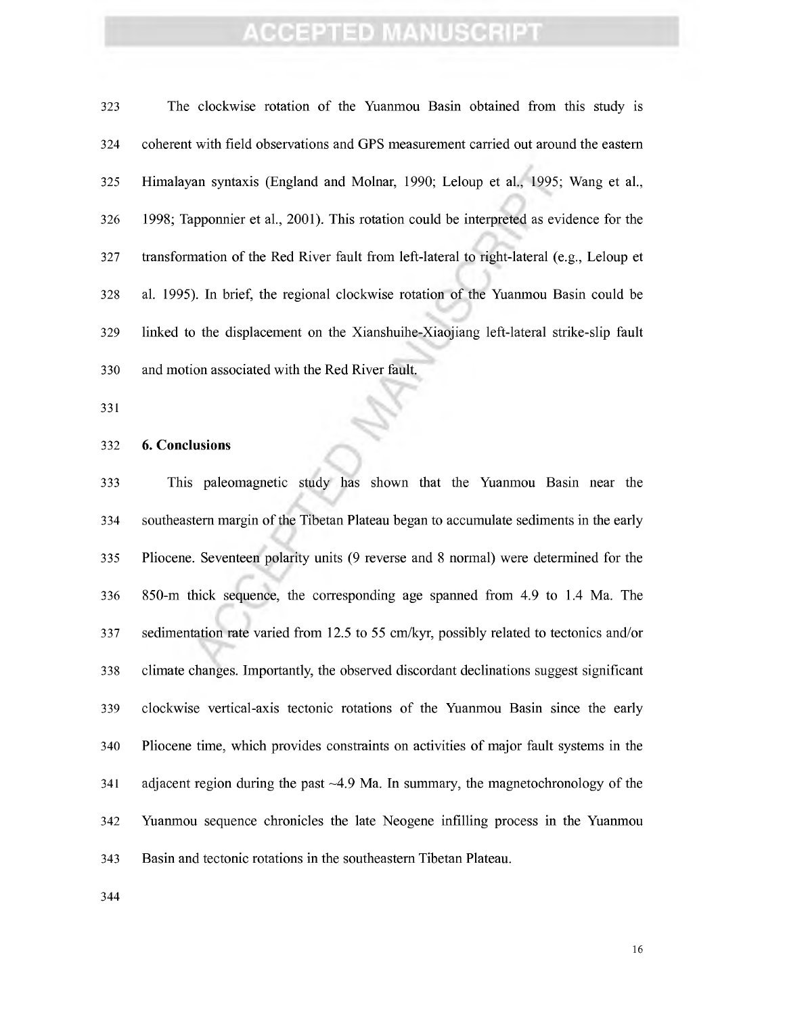The clockwise rotation of the Yuanmou Basin obtained from this study is coherent with field observations and GPS measurement carried out around the eastern Himalayan syntaxis (England and Molnar, 1990; Leloup et al., 1995; Wang et al., 1998; Tapponnier et al., 2001). This rotation could be interpreted as evidence for the transformation of the Red River fault from left-lateral to right-lateral (e.g., Leloup et al. 1995). In brief, the regional clockwise rotation of the Yuanmou Basin could be linked to the displacement on the Xianshuihe-Xiaojiang left-lateral strike-slip fault and motion associated with the Red River fault.

^

#### **6. Conclusions**

 This paleomagnetic study has shown that the Yuanmou Basin near the 334 southeastern margin of the Tibetan Plateau began to accumulate sediments in the early Pliocene. Seventeen polarity units (9 reverse and 8 normal) were determined for the 850-m thick sequence, the corresponding age spanned from 4.9 to 1.4 Ma. The sedimentation rate varied from 12.5 to 55 cm/kyr, possibly related to tectonics and/or climate changes. Importantly, the observed discordant declinations suggest significant clockwise vertical-axis tectonic rotations of the Yuanmou Basin since the early Pliocene time, which provides constraints on activities of major fault systems in the adjacent region during the past -4.9 Ma. In summary, the magnetochronology of the Yuanmou sequence chronicles the late Neogene infilling process in the Yuanmou Basin and tectonic rotations in the southeastern Tibetan Plateau.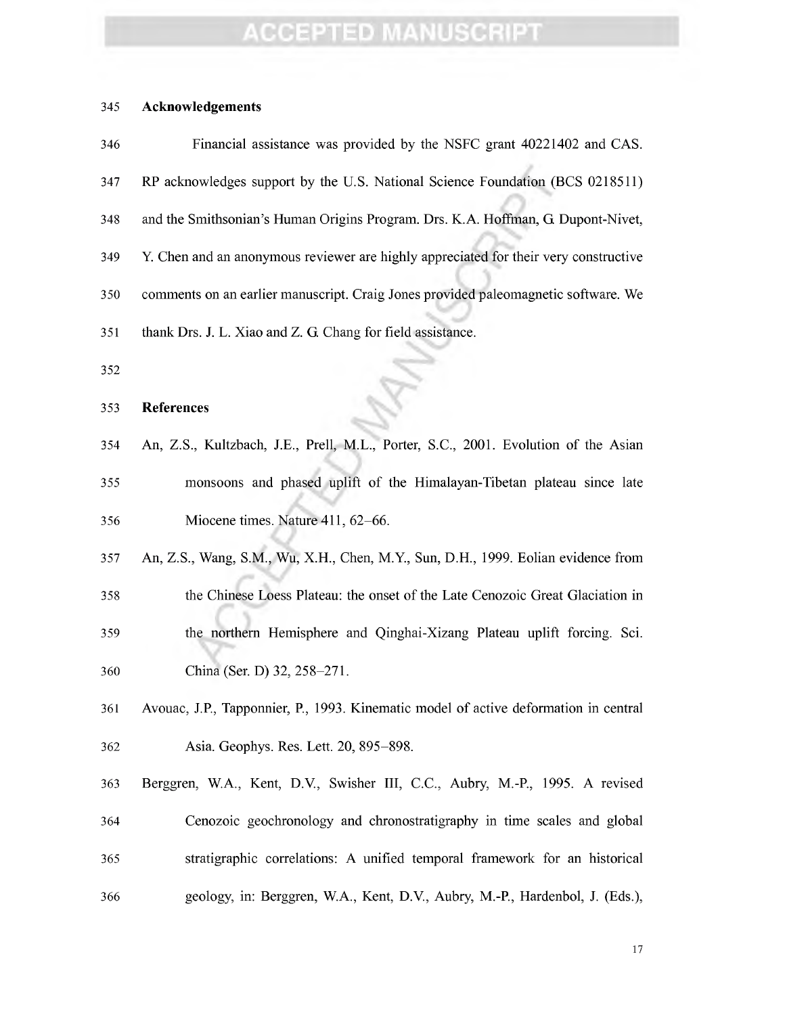#### **Acknowledgements**

| 346 | Financial assistance was provided by the NSFC grant 40221402 and CAS.                |
|-----|--------------------------------------------------------------------------------------|
| 347 | RP acknowledges support by the U.S. National Science Foundation (BCS 0218511)        |
| 348 | and the Smithsonian's Human Origins Program. Drs. K.A. Hoffman, G. Dupont-Nivet,     |
| 349 | Y. Chen and an anonymous reviewer are highly appreciated for their very constructive |
| 350 | comments on an earlier manuscript. Craig Jones provided paleomagnetic software. We   |
| 351 | thank Drs. J. L. Xiao and Z. G. Chang for field assistance.                          |
| 352 |                                                                                      |
| 353 | <b>References</b>                                                                    |
| 354 | An, Z.S., Kultzbach, J.E., Prell, M.L., Porter, S.C., 2001. Evolution of the Asian   |
| 355 | monsoons and phased uplift of the Himalayan-Tibetan plateau since late               |
| 356 | Miocene times. Nature 411, 62-66.                                                    |
| 357 | An, Z.S., Wang, S.M., Wu, X.H., Chen, M.Y., Sun, D.H., 1999. Eolian evidence from    |
| 358 | the Chinese Loess Plateau: the onset of the Late Cenozoic Great Glaciation in        |
| 359 | the northern Hemisphere and Qinghai-Xizang Plateau uplift forcing. Sci.              |
| 360 | China (Ser. D) 32, 258-271.                                                          |
| 361 | Avouac, J.P., Tapponnier, P., 1993. Kinematic model of active deformation in central |
| 362 | Asia. Geophys. Res. Lett. 20, 895-898.                                               |
| 363 | Berggren, W.A., Kent, D.V., Swisher III, C.C., Aubry, M.-P., 1995. A revised         |
| 364 | Cenozoic geochronology and chronostratigraphy in time scales and global              |
| 365 | stratigraphic correlations: A unified temporal framework for an historical           |
| 366 | geology, in: Berggren, W.A., Kent, D.V., Aubry, M.-P., Hardenbol, J. (Eds.),         |
|     |                                                                                      |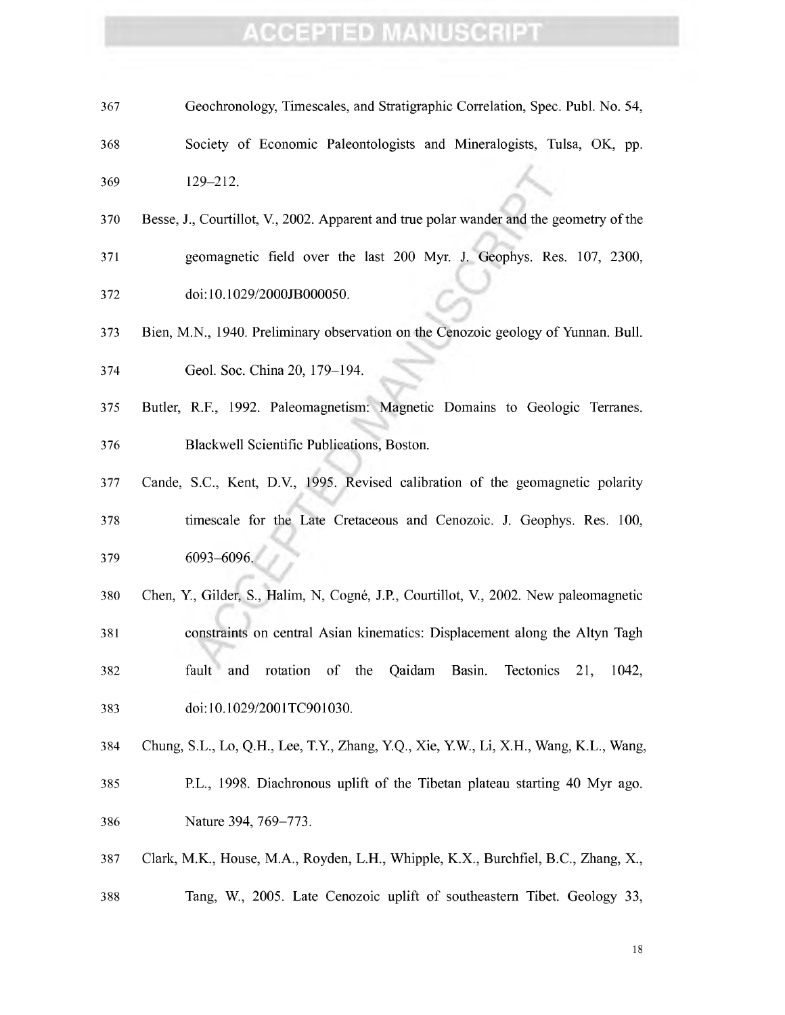- Geochronology, Timescales, and Stratigraphie Correlation, Spee. Publ. No. 54, Society of Economic Paleontologists and Mineralogists, Tulsa, OK, pp.  $129-212.$
- Besse, J., Courtillot, V., 2002. Apparent and true polar wander and the geometry ofthe geomagnetic field over the last 200 Myr. J. Geophys. Res. 107, 2300, doi:10.1029/2000JB000050.
- Bien, M.N., 1940. Preliminary observation on the Cenozoic geology of Yunnan. Bull.
- Geol. Soc. China 20, 179-194.
- Butler, R.F., 1992. Paleomagnetism: Magnetic Domains to Geologic Terranes. Blackwell Scientific Publications, Boston.
- Cande, S.C, Kent, D.V., 1995. Revised calibration of the geomagnetic polarity
- timescale for the Late Cretaceous and Cenozoic. J. Geophys. Res. 100, 6093-6096. ^
- Chen, Y, Gilder, S., Halim, N, Cogné, J.R, Courtillot, V., 2002. New paleomagnetic
- constraints on central Asian kinematics: Displacement along the Altyn Tagh fault and rotation of the Qaidam Basin. Tectonics 21, 1042, doi: 10.1029/2001TC901030.
- Chung, S.L., Lo, Q.H., Lee, T.Y, Zhang, Y.Q., Xie, Y.W., Li, X.H., Wang, K.L., Wang,
- 385 P.L., 1998. Diachronous uplift of the Tibetan plateau starting 40 Myr ago. Nature 394, 769-773.
- Clark, M.K, House, M.A., Royden, L.H., Whipple, K.X., Burchfiel, B.C., Zhang, X.,
- Tang, W., 2005. Late Cenozoic uplift of southeastern Tibet. Geology 33,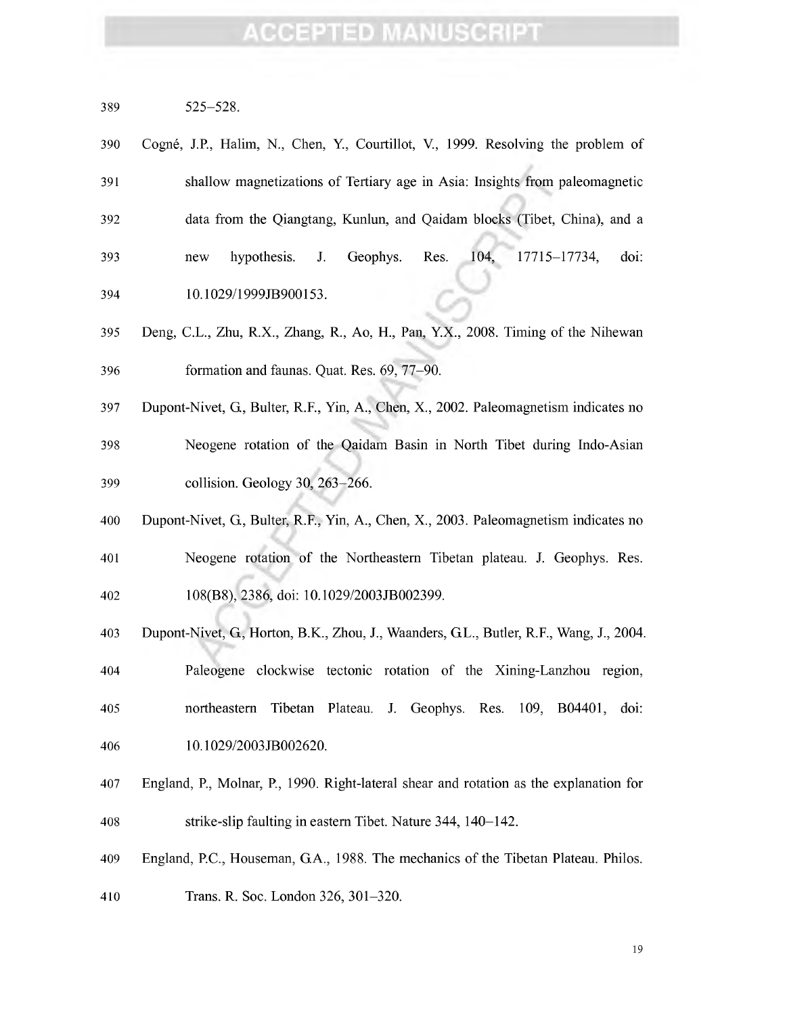| 389 | $525 - 528$ . |
|-----|---------------|
|     |               |

| 390 | Cogné, J.P., Halim, N., Chen, Y., Courtillot, V., 1999. Resolving the problem of |
|-----|----------------------------------------------------------------------------------|
| 391 | shallow magnetizations of Tertiary age in Asia: Insights from paleomagnetic      |
| 392 | data from the Qiangtang, Kunlun, and Qaidam blocks (Tibet, China), and a         |
| 393 | doi:<br>hypothesis. J. Geophys. Res. 104, 17715–17734,<br>new                    |
| 394 | 10.1029/1999JB900153.                                                            |

- Deng, C.L., Zhu, R.X., Zhang, R., Ao, H., Pan, Y.X., 2008. Timing of the Nihewan formation and faimas. Quat. Res. 69, 77-90.
- Dupont-Nivet, G, Buher, R.F., Yin, A., Chen, X., 2002. Paleomagnetism indicates no Neogene rotation of the Qaidam Basin in North Tibet during Indo-Asian 399 collision. Geology 30, 263–266.
- Dupont-Nivet, G, Bulter, R.F., Yin, A., Chen, X., 2003. Paleomagnetism indicates no
- Neogene rotation of the Northeastern Tibetan plateau. J. Geophys. Res. 108(B8), 2386, doi: 10.1029/2003JB002399.
- 
- Dupont-Nivet, G, Horton, B.K., Zhou, J., Waanders, GL., Butler, R.F., Wang, J., 2004.
- Paleogene clockwise tectonic rotation of the Xining-Lanzhou region,
- northeastern Tibetan Plateau. J. Geophys. Res. 109, B04401, doi:
- 10.1029/2003JB002620.
- England, P., Molnar, P., 1990. Right-lateral shear and rotation as the explanation for strike-slip faulting in eastern Tibet. Nature 344, 140-142.
- England, P.C., Houseman, G.A., 1988. The mechanics of the Tibetan Plateau. Philos.
- Trans. R. Soc. London 326, 301-320.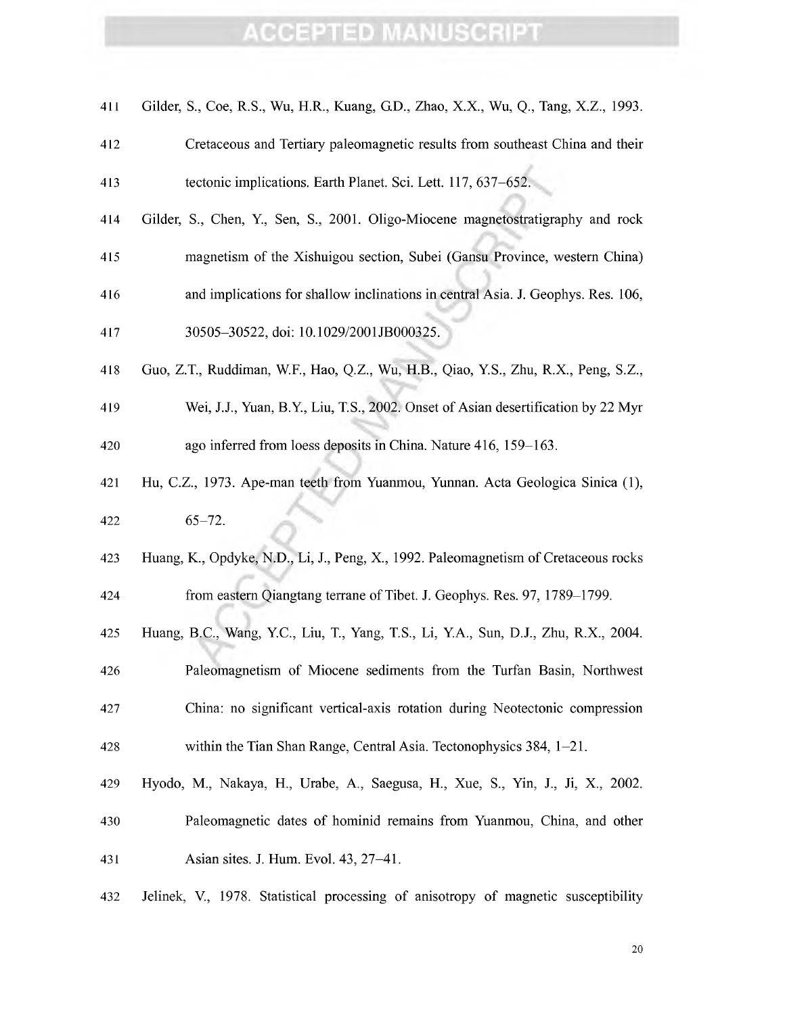| 411 | Gilder, S., Coe, R.S., Wu, H.R., Kuang, G.D., Zhao, X.X., Wu, Q., Tang, X.Z., 1993. |
|-----|-------------------------------------------------------------------------------------|
| 412 | Cretaceous and Tertiary paleomagnetic results from southeast China and their        |
| 413 | tectonic implications. Earth Planet. Sci. Lett. 117, 637–652.                       |
| 414 | Gilder, S., Chen, Y., Sen, S., 2001. Oligo-Miocene magnetostratigraphy and rock     |
| 415 | magnetism of the Xishuigou section, Subei (Gansu Province, western China)           |
| 416 | and implications for shallow inclinations in central Asia. J. Geophys. Res. 106,    |
| 417 | 30505-30522, doi: 10.1029/2001JB000325.                                             |
| 418 | Guo, Z.T., Ruddiman, W.F., Hao, Q.Z., Wu, H.B., Qiao, Y.S., Zhu, R.X., Peng, S.Z.,  |
| 419 | Wei, J.J., Yuan, B.Y., Liu, T.S., 2002. Onset of Asian desertification by 22 Myr    |
| 420 | ago inferred from loess deposits in China. Nature 416, 159-163.                     |
| 421 | Hu, C.Z., 1973. Ape-man teeth from Yuanmou, Yunnan. Acta Geologica Sinica (1),      |
| 422 | $65 - 72.$                                                                          |
| 423 | Huang, K., Opdyke, N.D., Li, J., Peng, X., 1992. Paleomagnetism of Cretaceous rocks |
| 424 | from eastern Qiangtang terrane of Tibet. J. Geophys. Res. 97, 1789–1799.            |
| 425 | Huang, B.C., Wang, Y.C., Liu, T., Yang, T.S., Li, Y.A., Sun, D.J., Zhu, R.X., 2004. |
| 426 | Paleomagnetism of Miocene sediments from the Turfan Basin, Northwest                |
| 427 | China: no significant vertical-axis rotation during Neotectonic compression         |
| 428 | within the Tian Shan Range, Central Asia. Tectonophysics $384$ , $1-21$ .           |
| 429 | Hyodo, M., Nakaya, H., Urabe, A., Saegusa, H., Xue, S., Yin, J., Ji, X., 2002.      |
| 430 | Paleomagnetic dates of hominid remains from Yuanmou, China, and other               |
| 431 | Asian sites. J. Hum. Evol. 43, 27–41.                                               |
| 432 | Jelinek, V., 1978. Statistical processing of anisotropy of magnetic susceptibility  |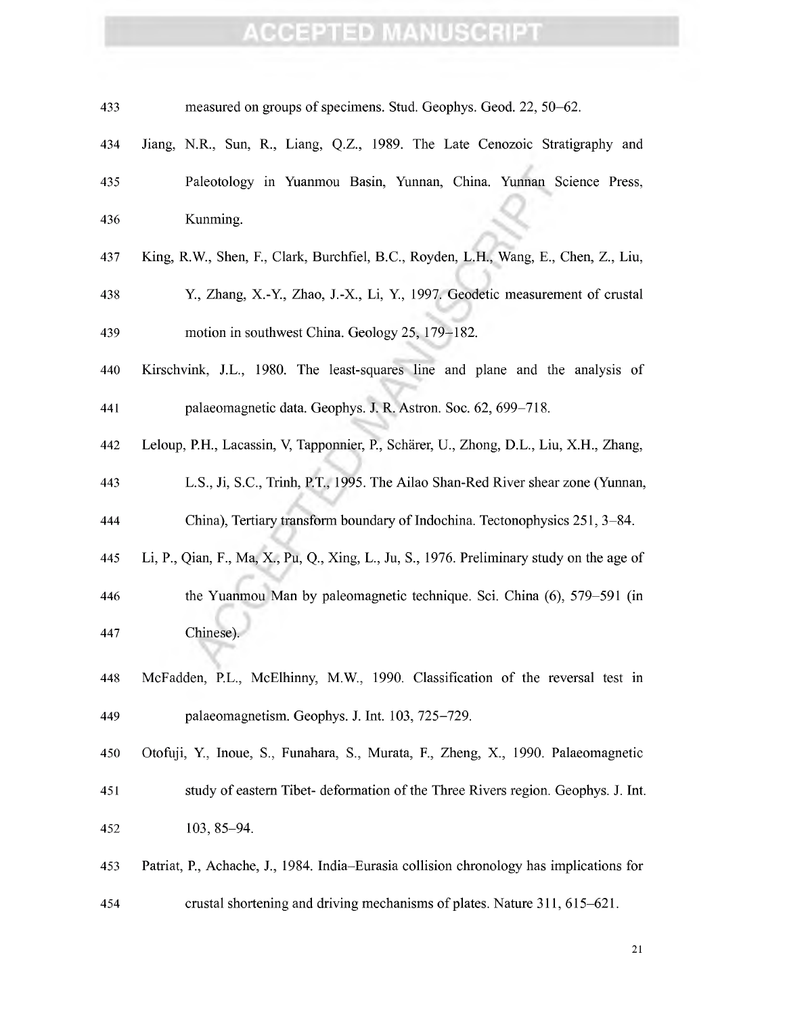| 433 | measured on groups of specimens. Stud. Geophys. Geod. 22, 50–62.                          |
|-----|-------------------------------------------------------------------------------------------|
| 434 | Jiang, N.R., Sun, R., Liang, Q.Z., 1989. The Late Cenozoic Stratigraphy and               |
| 435 | Paleotology in Yuanmou Basin, Yunnan, China. Yunnan Science Press,                        |
| 436 | Kunming.                                                                                  |
| 437 | King, R.W., Shen, F., Clark, Burchfiel, B.C., Royden, L.H., Wang, E., Chen, Z., Liu,      |
| 438 | Y., Zhang, X.-Y., Zhao, J.-X., Li, Y., 1997. Geodetic measurement of crustal              |
| 439 | motion in southwest China. Geology 25, 179–182.                                           |
| 440 | Kirschvink, J.L., 1980. The least-squares line and plane and the analysis of              |
| 441 | palaeomagnetic data. Geophys. J. R. Astron. Soc. 62, 699-718.                             |
| 442 | Leloup, P.H., Lacassin, V, Tapponnier, P., Schärer, U., Zhong, D.L., Liu, X.H., Zhang,    |
| 443 | L.S., Ji, S.C., Trinh, P.T., 1995. The Ailao Shan-Red River shear zone (Yunnan,           |
| 444 | China), Tertiary transform boundary of Indochina. Tectonophysics 251, 3-84.               |
| 445 | Li, P., Qian, F., Ma, X., Pu, Q., Xing, L., Ju, S., 1976. Preliminary study on the age of |
| 446 | the Yuanmou Man by paleomagnetic technique. Sci. China (6), 579–591 (in                   |
| 447 | Chinese)                                                                                  |
| 448 | McFadden, P.L., McElhinny, M.W., 1990. Classification of the reversal test in             |
| 449 | palaeomagnetism. Geophys. J. Int. 103, 725-729.                                           |
| 450 | Otofuji, Y., Inoue, S., Funahara, S., Murata, F., Zheng, X., 1990. Palaeomagnetic         |
| 451 | study of eastern Tibet- deformation of the Three Rivers region. Geophys. J. Int.          |
| 452 | 103, 85-94.                                                                               |
| 453 | Patriat, P., Achache, J., 1984. India–Eurasia collision chronology has implications for   |
| 454 | crustal shortening and driving mechanisms of plates. Nature 311, 615–621.                 |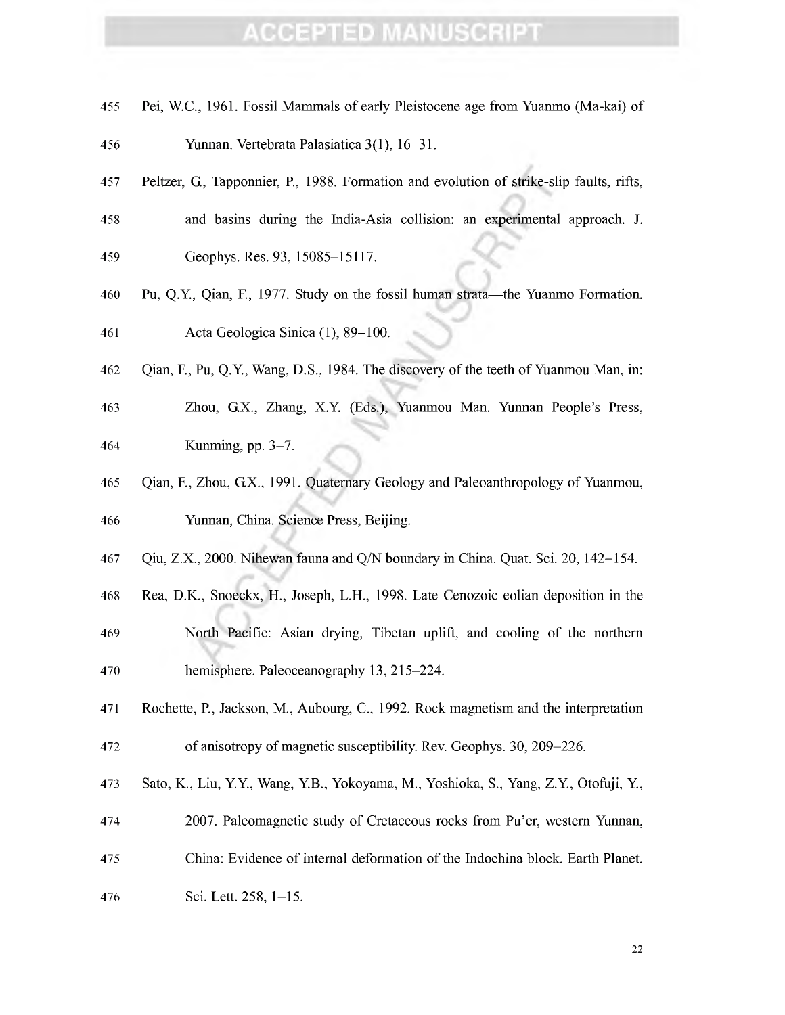- Pei, W.C., 1961. Fossil Mammals of early Pleistocene age from Yuanmo (Ma-kai) of
- Yunnan. Vertebrata Palasiatica 3(1), 16-31.
- Peltzer, G, Tapponnier, P., 1988. Formation and evolution of strike-slip faults, rifts,
- and basins during the India-Asia collision: an experimental approach. J.
- Geophys. Res. 93, 15085-15117.
- 460 Pu, Q.Y., Qian, F., 1977. Study on the fossil human strata—the Yuanmo Formation. Acta Geológica Sinica (1), 89-100.
- Qian, F., Pu, Q.Y, Wang, D.S., 1984. The discovery of the teeth of Yuanmou Man, in:
- Zhou, G.X., Zhang, X.Y (Eds.), Yuanmou Man. Yunnan People's Press, Kunming, pp. 3-7.
- Qian, F., Zhou, G.X., 1991. Quaternary Geology and Paleoanthropology of Yuanmou, Yunnan, China. Science Press, Beijing.
- Qiu, Z.X., 2000. Nihewan fauna and Q/N boundary in China. Quat. Sei. 20, 142-154.
- Rea, D.K., Snoeckx, H., Joseph, L.H., 1998. Late Cenozoic eolian deposition in the
- North Pacific: Asian drying, Tibetan uplift, and cooling of the northern hemisphere. Paleoceanography 13, 215-224.
- Rochette, P., Jackson, M., Aubourg, C, 1992. Rock magnetism and the interpretation 472 of anisotropy of magnetic susceptibility. Rev. Geophys. 30, 209–226.
- Sato, K., Liu, YY, Wang, Y.B., Yokoyama, M., Yoshioka, S., Yang, Z.Y, Otofuji, Y,
- 2007. Paleomagnetic study of Cretaceous rocks from Pu'er, western Yunnan,
- China: Evidence of internal deformation of the Indochina block. Earth Planet.
- Sei. Lett. 258, 1-15.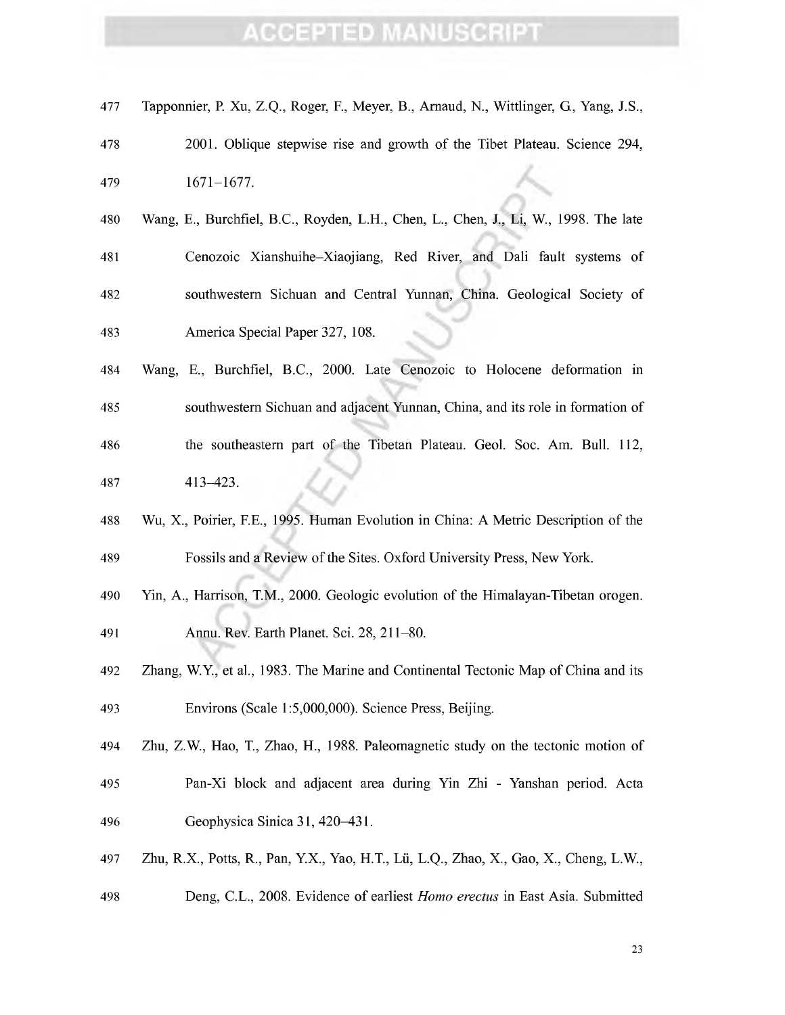| 477 | Tapponnier, P. Xu, Z.Q., Roger, F., Meyer, B., Arnaud, N., Wittlinger, G., Yang, J.S., |
|-----|----------------------------------------------------------------------------------------|
| 478 | 2001. Oblique stepwise rise and growth of the Tibet Plateau. Science 294,              |
| 479 | $1671 - 1677.$                                                                         |
| 480 | Wang, E., Burchfiel, B.C., Royden, L.H., Chen, L., Chen, J., Li, W., 1998. The late    |
| 481 | Cenozoic Xianshuihe-Xiaojiang, Red River, and Dali fault systems of                    |
| 482 | southwestern Sichuan and Central Yunnan, China. Geological Society of                  |
| 483 | America Special Paper 327, 108.                                                        |
| 484 | Wang, E., Burchfiel, B.C., 2000. Late Cenozoic to Holocene deformation in              |
| 485 | southwestern Sichuan and adjacent Yunnan, China, and its role in formation of          |
| 486 | the southeastern part of the Tibetan Plateau. Geol. Soc. Am. Bull. 112,                |
| 487 | $413 - 423$ .                                                                          |
| 488 | Wu, X., Poirier, F.E., 1995. Human Evolution in China: A Metric Description of the     |
|     |                                                                                        |
| 489 | Fossils and a Review of the Sites. Oxford University Press, New York.                  |
| 490 | Yin, A., Harrison, T.M., 2000. Geologic evolution of the Himalayan-Tibetan orogen.     |
| 491 | Annu. Rev. Earth Planet. Sci. 28, 211–80.                                              |
| 492 | Zhang, W.Y., et al., 1983. The Marine and Continental Tectonic Map of China and its    |
| 493 | Environs (Scale 1:5,000,000). Science Press, Beijing.                                  |
| 494 | Zhu, Z.W., Hao, T., Zhao, H., 1988. Paleomagnetic study on the tectonic motion of      |
| 495 | Pan-Xi block and adjacent area during Yin Zhi - Yanshan period. Acta                   |
| 496 | Geophysica Sinica 31, 420-431.                                                         |
| 497 | Zhu, R.X., Potts, R., Pan, Y.X., Yao, H.T., Lü, L.Q., Zhao, X., Gao, X., Cheng, L.W.,  |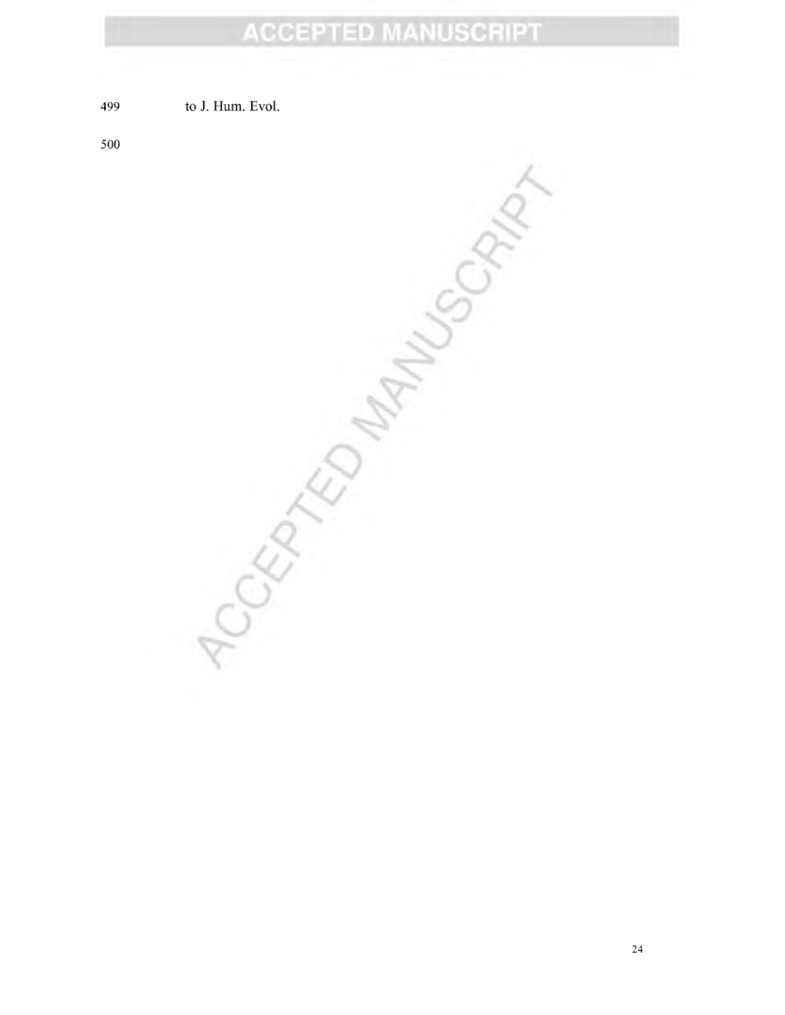499 to J. Hum. Evol.

500

Jumply SCRAN  $5557/27$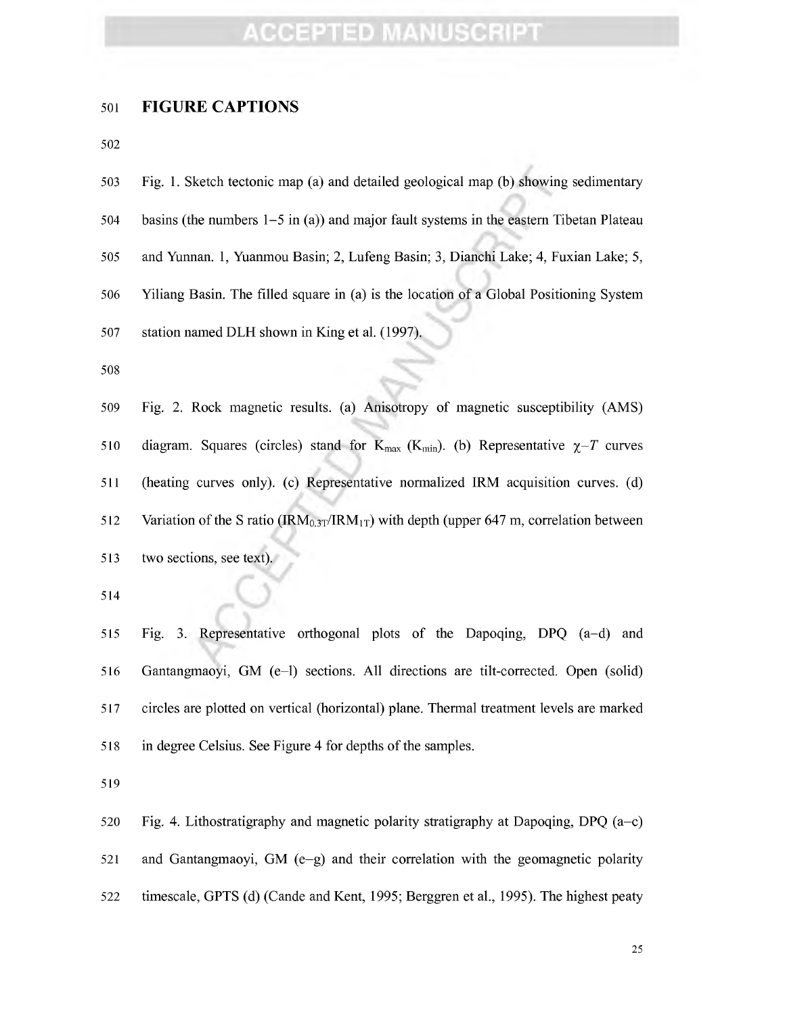#### **FIGURE CAPTIONS**

| 503 | Fig. 1. Sketch tectonic map (a) and detailed geological map (b) showing sedimentary      |
|-----|------------------------------------------------------------------------------------------|
| 504 | basins (the numbers $1-5$ in (a)) and major fault systems in the eastern Tibetan Plateau |
| 505 | and Yunnan. 1, Yuanmou Basin; 2, Lufeng Basin; 3, Dianchi Lake; 4, Fuxian Lake; 5,       |
| 506 | Yiliang Basin. The filled square in (a) is the location of a Global Positioning System   |
| 507 | station named DLH shown in King et al. (1997).                                           |
| 508 |                                                                                          |

 Fig. 2. Rock magnetic results, (a) Anisotropy of magnetic susceptibility (AMS) 510 diagram. Squares (circles) stand for  $K_{\text{max}}$  (K<sub>min</sub>). (b) Representative  $\chi$ -T curves (heating curves only), (c) Representative normalized IRM acquisition curves, (d) 512 Variation of the S ratio (IRM<sub>0.3T</sub>/IRM<sub>1T</sub>) with depth (upper 647 m, correlation between 513 two sections, see text).

 Fig. 3. Representative orthogonal plots of the Dapoqing, DPQ (a-d) and Gantangmaoyi, GM (e-1) sections. All directions are tilt-corrected. Open (solid) circles are plotted on vertical (horizontal) plane. Thermal treatment levels are marked 518 in degree Celsius. See Figure 4 for depths of the samples.

520 Fig. 4. Lithostratigraphy and magnetic polarity stratigraphy at Dapoqing, DPQ  $(a-c)$  and Gantangmaoyi, GM (e-g) and their correlation with the geomagnetic polarity timescale, GPTS (d) (Cande and Kent, 1995; Berggren et al, 1995). The highest peaty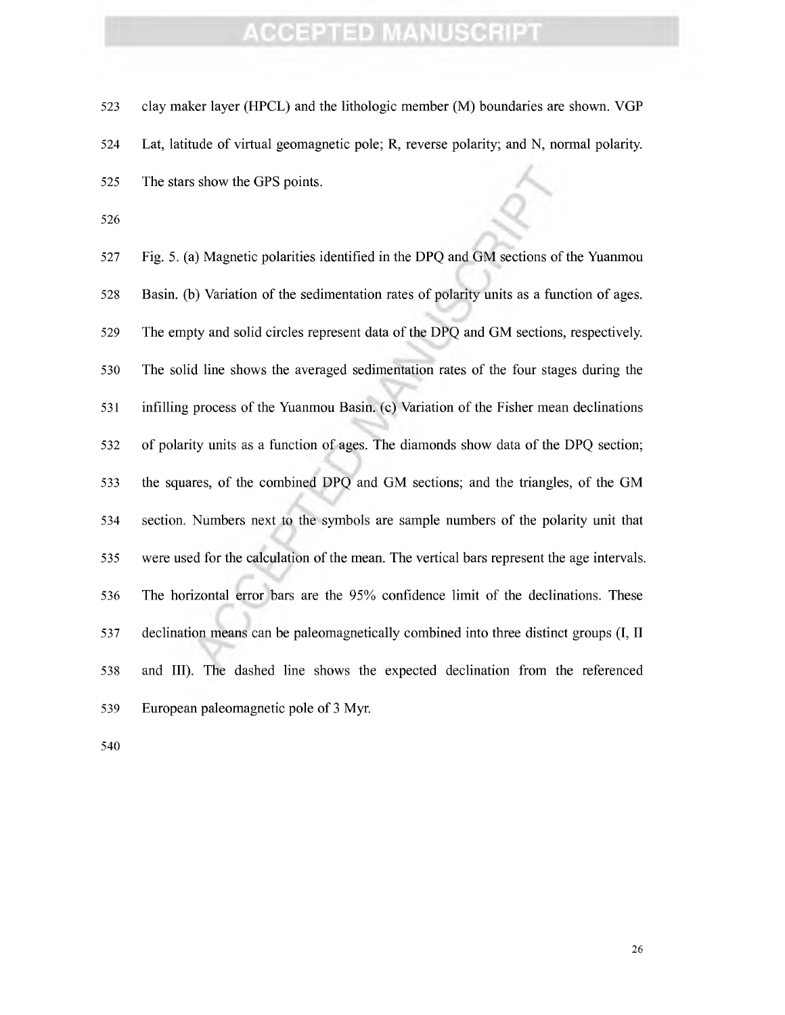523 clay maker layer (HPCL) and the lithologic member (M) boundaries are shown. VGP Lat, latitude of virtual geomagnetic pole; R, reverse polarity; and N, normal polarity. 525 The stars show the GPS points.

 Fig. 5. (a) Magnetic polarities identified in the DPQ and GM sections ofthe Yuanmou Basin, (b) Variation of the sedimentation rates of polarity units as a function of ages. The empty and solid circles represent data of the DPQ and GM sections, respectively. The solid line shows the averaged sedimentation rates of the four stages during the infilling process of the Yuanmou Basin, (c) Variation of the Fisher mean declinations of polarity units as a function of ages. The diamonds show data of the DPQ section; the squares, of the combined DPQ and GM sections; and the triangles, of the GM section. Numbers next to the sjonbols are sample numbers of the polarity unit that 535 were used for the calculation of the mean. The vertical bars represent the age intervals. The horizontal error bars are the 95% confidence limit of the declinations. These declination means can be paleomagnetically combined into three distinct groups (I, II and III). The dashed line shows the expected declination from the referenced 539 European paleomagnetic pole of 3 Myr.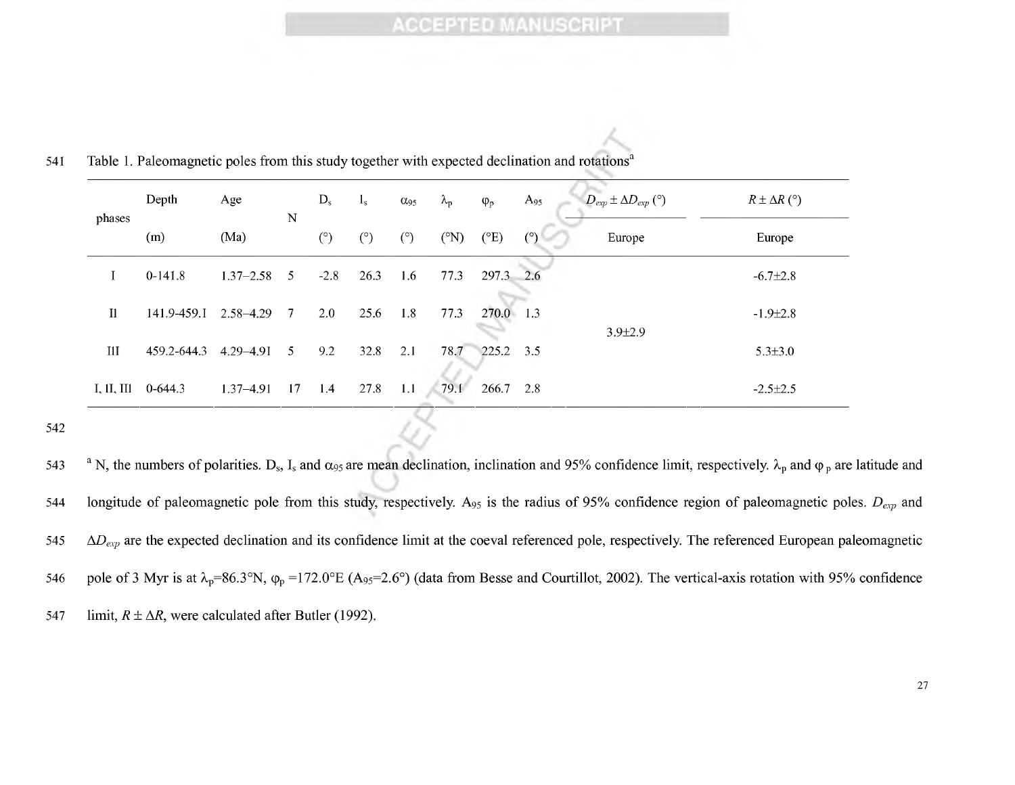|  | phases     | Depth                 | Age           | $\mathbf N$ | $D_{s}$ | $I_{S}$ | $\alpha_{95}$ | $\lambda_{\rm p}$ | $\varphi_p$   | $A_{95}$   | $D_{exp} \pm \Delta D_{exp}$ (°) | $R \pm \Delta R$ (°) |
|--|------------|-----------------------|---------------|-------------|---------|---------|---------------|-------------------|---------------|------------|----------------------------------|----------------------|
|  |            | (m)                   | (Ma)          |             | (°)     | (°)     | (°)           | $({}^{\circ}N)$   | $(^{\circ}E)$ | $^{\circ}$ | Europe                           | Europe               |
|  |            | $0-141.8$             | $1.37 - 2.58$ | 5           | $-2.8$  | 26.3    | 1.6           | 77.3              | 297.3         | 2.6        | $3.9 \pm 2.9$                    | $-6.7 \pm 2.8$       |
|  | I1         | 141.9-459.1 2.58-4.29 |               | 7           | 2.0     | 25.6    | 1.8           | 77.3              | 270.0 1.3     |            |                                  | $-1.9 \pm 2.8$       |
|  | III        | 459.2-644.3           | $4.29 - 4.91$ | 5.          | 9.2     | 32.8    | 2.1           | 78.7              | 225.2 3.5     |            |                                  | $5.3 \pm 3.0$        |
|  | I, II, III | $0-644.3$             | $1.37 - 4.91$ | 17          | -1.4    | 27.8    | 1.1           | 79.1              | 266.7 2.8     |            |                                  | $-2.5 \pm 2.5$       |

541 Table 1. Paleomagnetic poles from this study together with expected declination and rotations<sup>a</sup>

543  $^{\circ}$  N, the numbers of polarities. D<sub>s</sub>, I<sub>s</sub> and  $\alpha_{95}$  are mean declination, inclination and 95% confidence limit, respectively.  $\lambda_p$  and  $\varphi_p$  are latitude and 544 longitude of paleomagnetic pole from this study, respectively. A95 is the radius of 95% confidence region of paleomagnetic poles. *Dexp* and  $545$   $\Delta D_{exp}$  are the expected declination and its confidence limit at the coeval referenced pole, respectively. The referenced European paleomagnetic 546 pole of 3 Myr is at  $\lambda_p=86.3^\circ N$ ,  $\varphi_p=172.0^\circ E$  (A<sub>95</sub>=2.6°) (data from Besse and Courtillot, 2002). The vertical-axis rotation with 95% confidence 547 limit,  $R \pm \Delta R$ , were calculated after Butler (1992).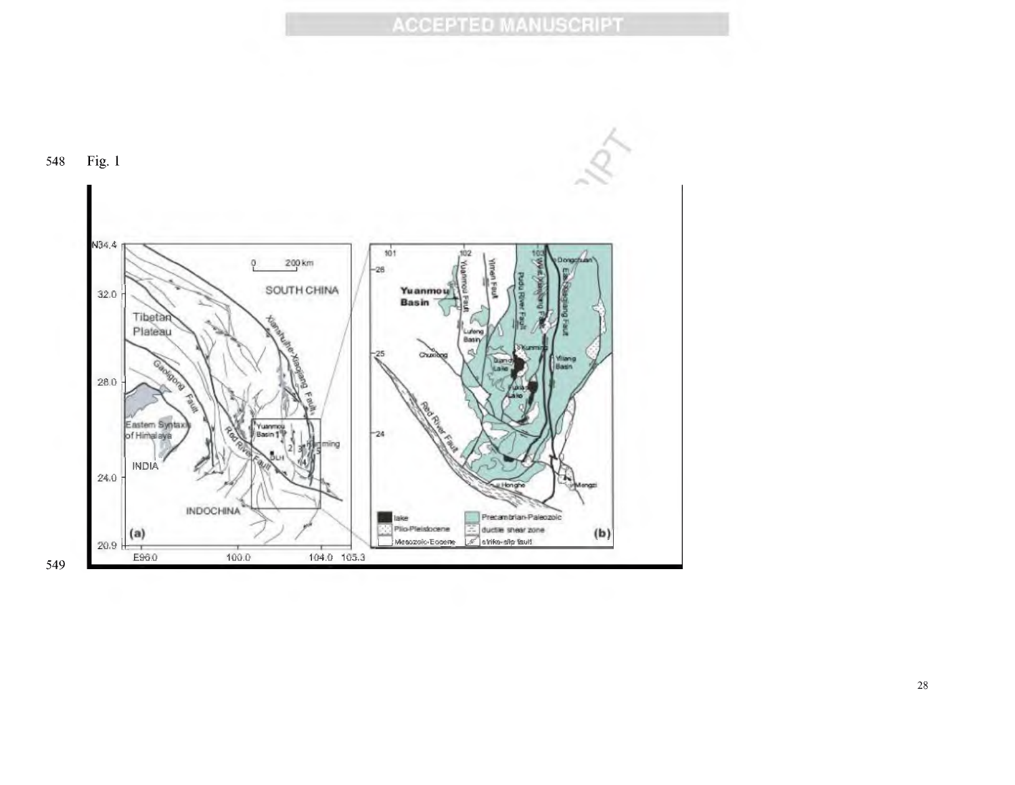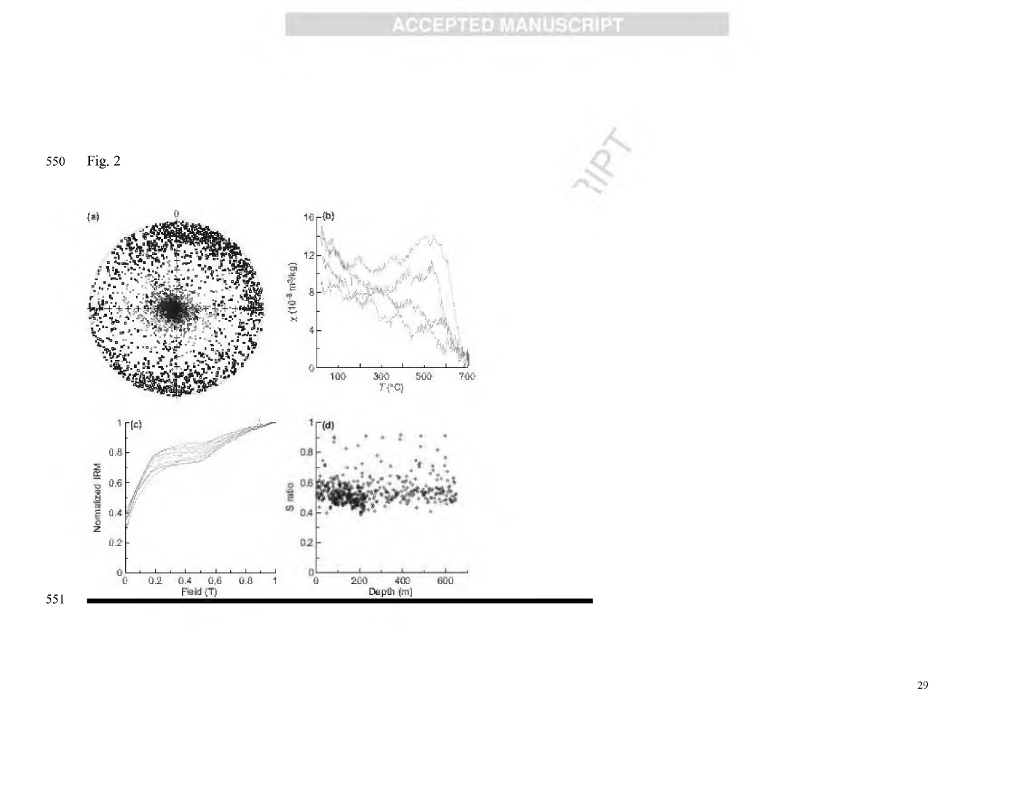Fig. 2 550

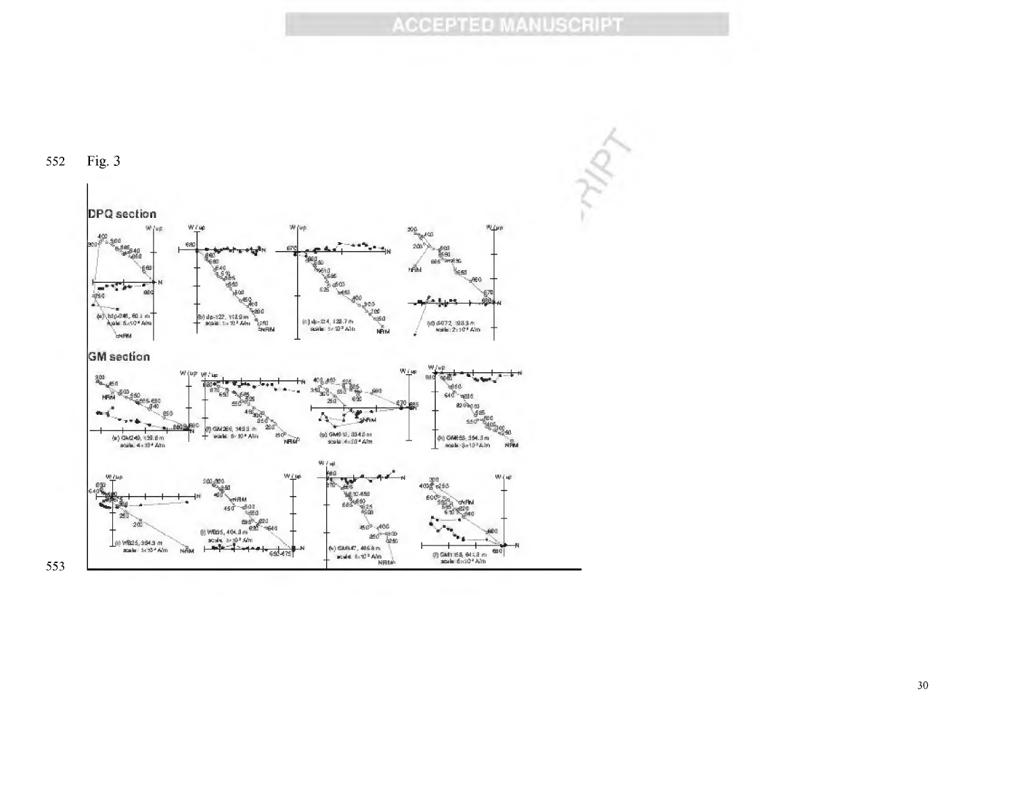

#### 552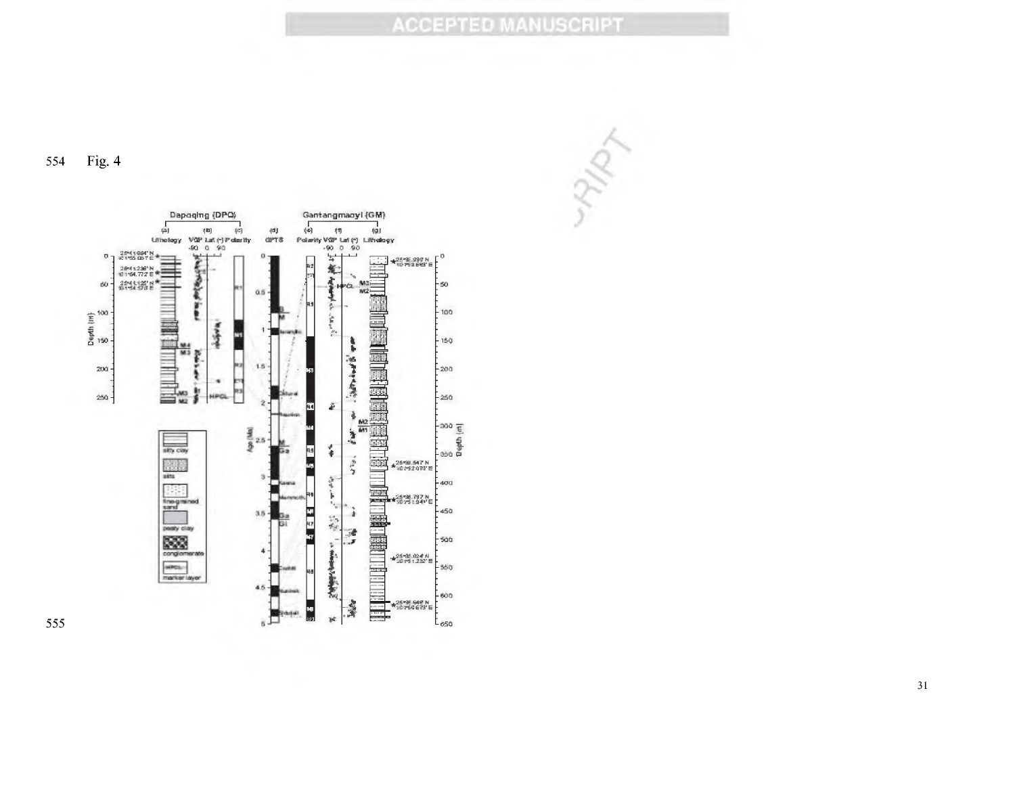ARPY

Fig. 4 554